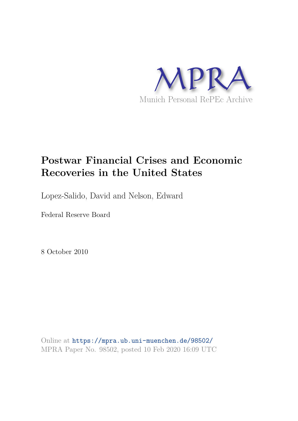

# **Postwar Financial Crises and Economic Recoveries in the United States**

Lopez-Salido, David and Nelson, Edward

Federal Reserve Board

8 October 2010

Online at https://mpra.ub.uni-muenchen.de/98502/ MPRA Paper No. 98502, posted 10 Feb 2020 16:09 UTC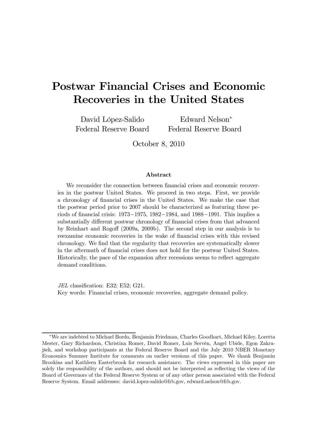# Postwar Financial Crises and Economic Recoveries in the United States

David López-Salido Federal Reserve Board

Edward Nelson<sup>∗</sup> Federal Reserve Board

October 8, 2010

#### Abstract

We reconsider the connection between financial crises and economic recoveries in the postwar United States. We proceed in two steps. First, we provide a chronology of financial crises in the United States. We make the case that the postwar period prior to 2007 should be characterized as featuring three periods of financial crisis: 1973−1975, 1982−1984, and 1988−1991. This implies a substantially different postwar chronology of financial crises from that advanced by Reinhart and Rogoff (2009a, 2009b). The second step in our analysis is to reexamine economic recoveries in the wake of financial crises with this revised chronology. We find that the regularity that recoveries are systematically slower in the aftermath of financial crises does not hold for the postwar United States. Historically, the pace of the expansion after recessions seems to reflect aggregate demand conditions.

*JEL* classification: E32; E52; G21. Key words: Financial crises, economic recoveries, aggregate demand policy.

<sup>∗</sup>We are indebted to Michael Bordo, Benjamin Friedman, Charles Goodhart, Michael Kiley, Loretta Mester, Gary Richardson, Christina Romer, David Romer, Luis Servén, Angel Ubide, Egon Zakrajšek, and workshop participants at the Federal Reserve Board and the July 2010 NBER Monetary Economics Summer Institute for comments on earlier versions of this paper. We thank Benjamin Brookins and Kathleen Easterbrook for research assistance. The views expressed in this paper are solely the responsibility of the authors, and should not be interpreted as reflecting the views of the Board of Governors of the Federal Reserve System or of any other person associated with the Federal Reserve System. Email addresses: david.lopez-salido@frb.gov, edward.nelson@frb.gov.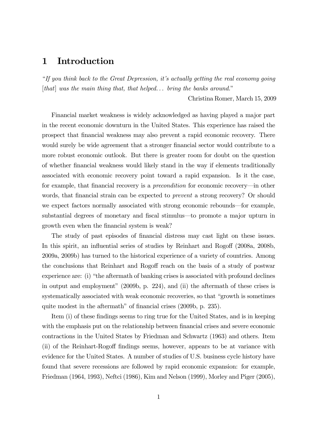# 1 Introduction

"*If you think back to the Great Depression, it's actually getting the real economy going* [*that*] *was the main thing that, that helped. . . bring the banks around.*"

Christina Romer, March 15, 2009

Financial market weakness is widely acknowledged as having played a major part in the recent economic downturn in the United States. This experience has raised the prospect that financial weakness may also prevent a rapid economic recovery. There would surely be wide agreement that a stronger financial sector would contribute to a more robust economic outlook. But there is greater room for doubt on the question of whether financial weakness would likely stand in the way if elements traditionally associated with economic recovery point toward a rapid expansion. Is it the case, for example, that financial recovery is a *precondition* for economic recovery–in other words, that financial strain can be expected to *prevent* a strong recovery? Or should we expect factors normally associated with strong economic rebounds–for example, substantial degrees of monetary and fiscal stimulus–to promote a major upturn in growth even when the financial system is weak?

The study of past episodes of financial distress may cast light on these issues. In this spirit, an influential series of studies by Reinhart and Rogoff (2008a, 2008b, 2009a, 2009b) has turned to the historical experience of a variety of countries. Among the conclusions that Reinhart and Rogoff reach on the basis of a study of postwar experience are: (i) "the aftermath of banking crises is associated with profound declines in output and employment" (2009b, p. 224), and (ii) the aftermath of these crises is systematically associated with weak economic recoveries, so that "growth is sometimes quite modest in the aftermath" of financial crises (2009b, p. 235).

Item (i) of these findings seems to ring true for the United States, and is in keeping with the emphasis put on the relationship between financial crises and severe economic contractions in the United States by Friedman and Schwartz (1963) and others. Item (ii) of the Reinhart-Rogoff findings seems, however, appears to be at variance with evidence for the United States. A number of studies of U.S. business cycle history have found that severe recessions are followed by rapid economic expansion: for example, Friedman (1964, 1993), Neftci (1986), Kim and Nelson (1999), Morley and Piger (2005),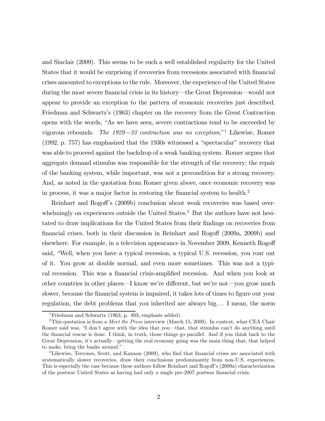and Sinclair (2009). This seems to be such a well established regularity for the United States that it would be surprising if recoveries from recessions associated with financial crises amounted to exceptions to the rule. Moreover, the experience of the United States during the most severe financial crisis in its history–the Great Depression–would not appear to provide an exception to the pattern of economic recoveries just described. Friedman and Schwartz's (1963) chapter on the recovery from the Great Contraction opens with the words, "As we have seen, severe contractions tend to be succeeded by vigorous rebounds. *The 1929*−*33 contraction was no exception*."<sup>1</sup> Likewise, Romer (1992, p. 757) has emphasized that the 1930s witnessed a "spectacular" recovery that was able to proceed against the backdrop of a weak banking system. Romer argues that aggregate demand stimulus was responsible for the strength of the recovery; the repair of the banking system, while important, was not a precondition for a strong recovery. And, as noted in the quotation from Romer given above, once economic recovery was in process, it was a major factor in restoring the financial system to health.<sup>2</sup>

Reinhart and Rogoff's (2009b) conclusion about weak recoveries was based overwhelmingly on experiences outside the United States.<sup>3</sup> But the authors have not hesitated to draw implications for the United States from their findings on recoveries from financial crises, both in their discussion in Reinhart and Rogoff (2009a, 2009b) and elsewhere. For example, in a television appearance in November 2009, Kenneth Rogoff said, "Well, when you have a typical recession, a typical U.S. recession, you roar out of it. You grow at double normal, and even more sometimes. This was not a typical recession. This was a financial crisis-amplified recession. And when you look at other countries in other places–I know we're different, but we're not–you grow much slower, because the financial system is impaired, it takes lots of times to figure out your regulation, the debt problems that you inherited are always big. . . I mean, the norm

<sup>&</sup>lt;sup>1</sup>Friedman and Schwartz  $(1963, p. 493;$  emphasis added).

<sup>2</sup>This quotation is from a *Meet the Press* interview (March 15, 2009). In context, what CEA Chair Romer said was, "I don't agree with the idea that you–that, that stimulus can't do anything until the financial rescue is done. I think, in truth, those things go parallel. And if you think back to the Great Depression, it's actually–getting the real economy going was the main thing that, that helped to make, bring the banks around."

<sup>3</sup>Likewise, Terrones, Scott, and Kannan (2009), who find that financial crises are associated with systematically slower recoveries, draw their conclusions predominantly from non-U.S. experiences. This is especially the case because these authors follow Reinhart and Rogoff's (2009a) characterization of the postwar United States as having had only a single pre-2007 postwar financial crisis.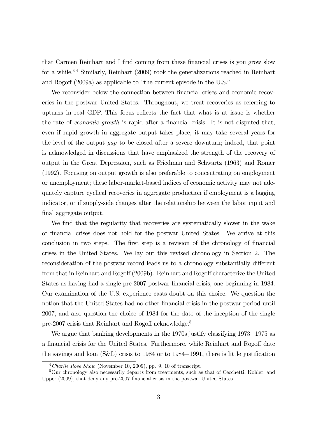that Carmen Reinhart and I find coming from these financial crises is you grow slow for a while."<sup>4</sup> Similarly, Reinhart (2009) took the generalizations reached in Reinhart and Rogoff (2009a) as applicable to "the current episode in the U.S."

We reconsider below the connection between financial crises and economic recoveries in the postwar United States. Throughout, we treat recoveries as referring to upturns in real GDP. This focus reflects the fact that what is at issue is whether the rate of *economic growth* is rapid after a financial crisis. It is not disputed that, even if rapid growth in aggregate output takes place, it may take several years for the level of the output *gap* to be closed after a severe downturn; indeed, that point is acknowledged in discussions that have emphasized the strength of the recovery of output in the Great Depression, such as Friedman and Schwartz (1963) and Romer (1992). Focusing on output growth is also preferable to concentrating on employment or unemployment; these labor-market-based indices of economic activity may not adequately capture cyclical recoveries in aggregate production if employment is a lagging indicator, or if supply-side changes alter the relationship between the labor input and final aggregate output.

We find that the regularity that recoveries are systematically slower in the wake of financial crises does not hold for the postwar United States. We arrive at this conclusion in two steps. The first step is a revision of the chronology of financial crises in the United States. We lay out this revised chronology in Section 2. The reconsideration of the postwar record leads us to a chronology substantially different from that in Reinhart and Rogoff (2009b). Reinhart and Rogoff characterize the United States as having had a single pre-2007 postwar financial crisis, one beginning in 1984. Our examination of the U.S. experience casts doubt on this choice. We question the notion that the United States had no other financial crisis in the postwar period until 2007, and also question the choice of 1984 for the date of the inception of the single pre-2007 crisis that Reinhart and Rogoff acknowledge.<sup>5</sup>

We argue that banking developments in the 1970s justify classifying 1973−1975 as a financial crisis for the United States. Furthermore, while Reinhart and Rogoff date the savings and loan (S&L) crisis to 1984 or to 1984−1991, there is little justification

<sup>4</sup>*Charlie Rose Show* (November 10, 2009), pp. 9, 10 of transcript.

<sup>&</sup>lt;sup>5</sup>Our chronology also necessarily departs from treatments, such as that of Cecchetti, Kohler, and Upper (2009), that deny any pre-2007 financial crisis in the postwar United States.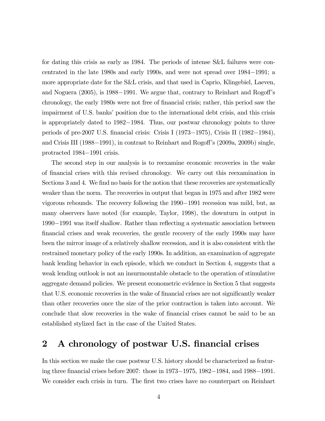for dating this crisis as early as 1984. The periods of intense S&L failures were concentrated in the late 1980s and early 1990s, and were not spread over 1984−1991; a more appropriate date for the S&L crisis, and that used in Caprio, Klingebiel, Laeven, and Noguera (2005), is 1988−1991. We argue that, contrary to Reinhart and Rogoff's chronology, the early 1980s were not free of financial crisis; rather, this period saw the impairment of U.S. banks' position due to the international debt crisis, and this crisis is appropriately dated to 1982−1984. Thus, our postwar chronology points to three periods of pre-2007 U.S. financial crisis: Crisis I (1973−1975), Crisis II (1982−1984), and Crisis III (1988−1991), in contrast to Reinhart and Rogoff's (2009a, 2009b) single, protracted 1984−1991 crisis.

The second step in our analysis is to reexamine economic recoveries in the wake of financial crises with this revised chronology. We carry out this reexamination in Sections 3 and 4. We find no basis for the notion that these recoveries are systematically weaker than the norm. The recoveries in output that began in 1975 and after 1982 were vigorous rebounds. The recovery following the 1990−1991 recession was mild, but, as many observers have noted (for example, Taylor, 1998), the downturn in output in <sup>1990</sup>−1991 was itself shallow. Rather than reflecting a systematic association between financial crises and weak recoveries, the gentle recovery of the early 1990s may have been the mirror image of a relatively shallow recession, and it is also consistent with the restrained monetary policy of the early 1990s. In addition, an examination of aggregate bank lending behavior in each episode, which we conduct in Section 4, suggests that a weak lending outlook is not an insurmountable obstacle to the operation of stimulative aggregate demand policies. We present econometric evidence in Section 5 that suggests that U.S. economic recoveries in the wake of financial crises are not significantly weaker than other recoveries once the size of the prior contraction is taken into account. We conclude that slow recoveries in the wake of financial crises cannot be said to be an established stylized fact in the case of the United States.

# 2 A chronology of postwar U.S. financial crises

In this section we make the case postwar U.S. history should be characterized as featuring three financial crises before 2007: those in 1973−1975, 1982−1984, and 1988−1991. We consider each crisis in turn. The first two crises have no counterpart on Reinhart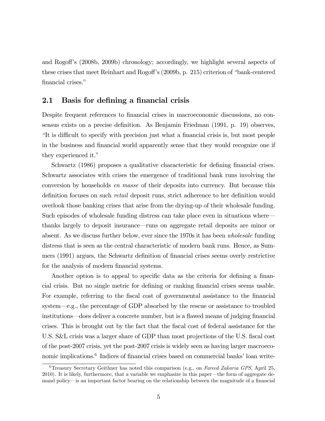and Rogoff's (2008b, 2009b) chronology; accordingly, we highlight several aspects of these crises that meet Reinhart and Rogoff's (2009b, p. 215) criterion of "bank-centered financial crises."

### 2.1 Basis for defining a financial crisis

Despite frequent references to financial crises in macroeconomic discussions, no consensus exists on a precise definition. As Benjamin Friedman (1991, p. 19) observes, "It is difficult to specify with precision just what a financial crisis is, but most people in the business and financial world apparently sense that they would recognize one if they experienced it."

Schwartz (1986) proposes a qualitative characteristic for defining financial crises. Schwartz associates with crises the emergence of traditional bank runs involving the conversion by households *en masse* of their deposits into currency. But because this definition focuses on such *retail* deposit runs, strict adherence to her definition would overlook those banking crises that arise from the drying-up of their wholesale funding. Such episodes of wholesale funding distress can take place even in situations where– thanks largely to deposit insurance–runs on aggregate retail deposits are minor or absent. As we discuss further below, ever since the 1970s it has been *wholesale* funding distress that is seen as the central characteristic of modern bank runs. Hence, as Summers (1991) argues, the Schwartz definition of financial crises seems overly restrictive for the analysis of modern financial systems.

Another option is to appeal to specific data as the criteria for defining a financial crisis. But no single metric for defining or ranking financial crises seems usable. For example, referring to the fiscal cost of governmental assistance to the financial system–e.g., the percentage of GDP absorbed by the rescue or assistance to troubled institutions–does deliver a concrete number, but is a flawed means of judging financial crises. This is brought out by the fact that the fiscal cost of federal assistance for the U.S. S&L crisis was a larger share of GDP than most projections of the U.S. fiscal cost of the post-2007 crisis, yet the post-2007 crisis is widely seen as having larger macroeconomic implications.<sup>6</sup> Indices of financial crises based on commercial banks' loan write-

<sup>6</sup>Treasury Secretary Geithner has noted this comparison (e.g., on *Fareed Zakaria GPS*, April 25, 2010). It is likely, furthermore, that a variable we emphasize in this paper–the form of aggregate demand policy–is an important factor bearing on the relationship between the magnitude of a financial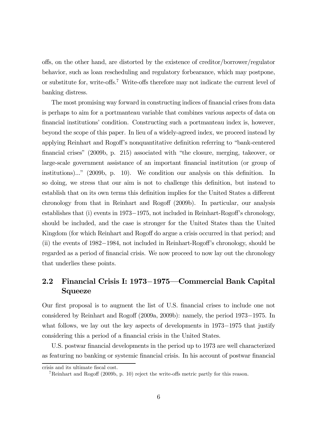offs, on the other hand, are distorted by the existence of creditor/borrower/regulator behavior, such as loan rescheduling and regulatory forbearance, which may postpone, or substitute for, write-offs.<sup>7</sup> Write-offs therefore may not indicate the current level of banking distress.

The most promising way forward in constructing indices of financial crises from data is perhaps to aim for a portmanteau variable that combines various aspects of data on financial institutions' condition. Constructing such a portmanteau index is, however, beyond the scope of this paper. In lieu of a widely-agreed index, we proceed instead by applying Reinhart and Rogoff's nonquantitative definition referring to "bank-centered financial crises" (2009b, p. 215) associated with "the closure, merging, takeover, or large-scale government assistance of an important financial institution (or group of institutions)..." (2009b, p. 10). We condition our analysis on this definition. In so doing, we stress that our aim is not to challenge this definition, but instead to establish that on its own terms this definition implies for the United States a different chronology from that in Reinhart and Rogoff (2009b). In particular, our analysis establishes that (i) events in 1973−1975, not included in Reinhart-Rogoff's chronology, should be included, and the case is stronger for the United States than the United Kingdom (for which Reinhart and Rogoff do argue a crisis occurred in that period; and (ii) the events of 1982−1984, not included in Reinhart-Rogoff's chronology, should be regarded as a period of financial crisis. We now proceed to now lay out the chronology that underlies these points.

# 2.2 Financial Crisis I: 1973−1975–Commercial Bank Capital Squeeze

Our first proposal is to augment the list of U.S. financial crises to include one not considered by Reinhart and Rogoff (2009a, 2009b): namely, the period 1973−1975. In what follows, we lay out the key aspects of developments in 1973−1975 that justify considering this a period of a financial crisis in the United States.

U.S. postwar financial developments in the period up to 1973 are well characterized as featuring no banking or systemic financial crisis. In his account of postwar financial

crisis and its ultimate fiscal cost.

<sup>7</sup>Reinhart and Rogoff (2009b, p. 10) reject the write-offs metric partly for this reason.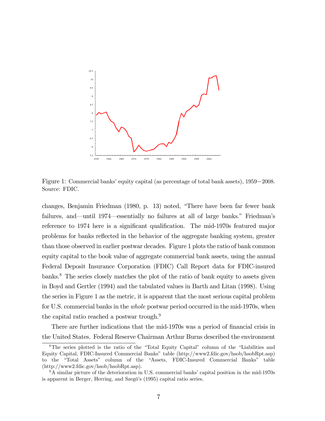

Figure 1: Commercial banks' equity capital (as percentage of total bank assets), 1959−2008. Source: FDIC.

changes, Benjamin Friedman (1980, p. 13) noted, "There have been far fewer bank failures, and–until 1974–essentially no failures at all of large banks." Friedman's reference to 1974 here is a significant qualification. The mid-1970s featured major problems for banks reflected in the behavior of the aggregate banking system, greater than those observed in earlier postwar decades. Figure 1 plots the ratio of bank common equity capital to the book value of aggregate commercial bank assets, using the annual Federal Deposit Insurance Corporation (FDIC) Call Report data for FDIC-insured banks.<sup>8</sup> The series closely matches the plot of the ratio of bank equity to assets given in Boyd and Gertler (1994) and the tabulated values in Barth and Litan (1998). Using the series in Figure 1 as the metric, it is apparent that the most serious capital problem for U.S. commercial banks in the *whole* postwar period occurred in the mid-1970s, when the capital ratio reached a postwar trough.<sup>9</sup>

There are further indications that the mid-1970s was a period of financial crisis in the United States. Federal Reserve Chairman Arthur Burns described the environment

<sup>8</sup>The series plotted is the ratio of the "Total Equity Capital" column of the "Liabilities and Equity Capital, FDIC-Insured Commercial Banks" table (http://www2.fdic.gov/hsob/hsobRpt.asp) to the "Total Assets" column of the "Assets, FDIC-Insured Commercial Banks" table (http://www2.fdic.gov/hsob/hsobRpt.asp).

<sup>9</sup>A similar picture of the deterioration in U.S. commercial banks' capital position in the mid-1970s is apparent in Berger, Herring, and Szegö's (1995) capital ratio series.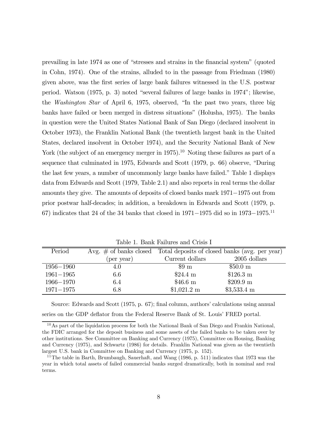prevailing in late 1974 as one of "stresses and strains in the financial system" (quoted in Cohn, 1974). One of the strains, alluded to in the passage from Friedman (1980) given above, was the first series of large bank failures witnessed in the U.S. postwar period. Watson (1975, p. 3) noted "several failures of large banks in 1974"; likewise, the *Washington Star* of April 6, 1975, observed, "In the past two years, three big banks have failed or been merged in distress situations" (Holusha, 1975). The banks in question were the United States National Bank of San Diego (declared insolvent in October 1973), the Franklin National Bank (the twentieth largest bank in the United States, declared insolvent in October 1974), and the Security National Bank of New York (the subject of an emergency merger in 1975).<sup>10</sup> Noting these failures as part of a sequence that culminated in 1975, Edwards and Scott (1979, p. 66) observe, "During the last few years, a number of uncommonly large banks have failed." Table 1 displays data from Edwards and Scott (1979, Table 2.1) and also reports in real terms the dollar amounts they give. The amounts of deposits of closed banks mark 1971−1975 out from prior postwar half-decades; in addition, a breakdown in Edwards and Scott (1979, p. 67) indicates that 24 of the 34 banks that closed in 1971−1975 did so in 1973−1975.<sup>11</sup>

| TANIO I, DOMIN FONGLOD OMO OTIVID I |            |                      |                                                                          |  |
|-------------------------------------|------------|----------------------|--------------------------------------------------------------------------|--|
| Period                              |            |                      | Avg. $\#$ of banks closed Total deposits of closed banks (avg. per year) |  |
|                                     | (per year) | Current dollars      | 2005 dollars                                                             |  |
| $1956 - 1960$                       | 4.0        | $\$9 \text{ m}$      | $$50.0 \text{ m}$                                                        |  |
| $1961 - 1965$                       | 6.6        | $$24.4 \text{ m}$    | $$126.3 \text{ m}$                                                       |  |
| $1966 - 1970$                       | 6.4        | $$46.6 \text{ m}$    | $$209.9 \text{ m}$                                                       |  |
| $1971 - 1975$                       | $6.8\,$    | $$1,021.2 \text{ m}$ | $$3,533.4 \text{ m}$                                                     |  |

Table 1. Bank Failures and Crisis I

Source: Edwards and Scott (1975, p. 67); final column, authors' calculations using annual series on the GDP deflator from the Federal Reserve Bank of St. Louis' FRED portal.

<sup>10</sup>As part of the liquidation process for both the National Bank of San Diego and Frankin National, the FDIC arranged for the deposit business and some assets of the failed banks to be taken over by other institutions. See Committee on Banking and Currency (1975), Committee on Housing, Banking and Currency (1975), and Schwartz (1986) for details. Franklin National was given as the twentieth largest U.S. bank in Committee on Banking and Currency (1975, p. 152).

<sup>&</sup>lt;sup>11</sup>The table in Barth, Brumbaugh, Sauerhaft, and Wang (1986, p. 511) indicates that 1973 was the year in which total assets of failed commercial banks surged dramatically, both in nominal and real terms.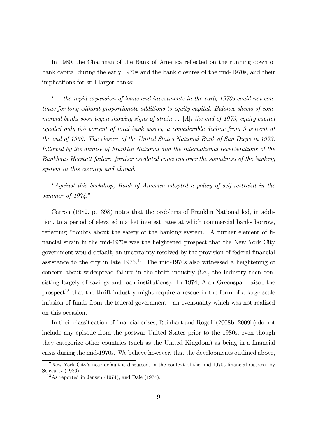In 1980, the Chairman of the Bank of America reflected on the running down of bank capital during the early 1970s and the bank closures of the mid-1970s, and their implications for still larger banks:

"*. . . the rapid expansion of loans and investments in the early 1970s could not continue for long without proportionate additions to equity capital. Balance sheets of commercial banks soon began showing signs of strain. . .* [*A*]*t the end of 1973, equity capital equaled only 6.5 percent of total bank assets, a considerable decline from 9 percent at the end of 1960. The closure of the United States National Bank of San Diego in 1973, followed by the demise of Franklin National and the international reverberations of the Bankhaus Herstatt failure, further escalated concerns over the soundness of the banking system in this country and abroad.*

"*Against this backdrop, Bank of America adopted a policy of self-restraint in the summer of 1974.*"

Carron (1982, p. 398) notes that the problems of Franklin National led, in addition, to a period of elevated market interest rates at which commercial banks borrow, reflecting "doubts about the safety of the banking system." A further element of financial strain in the mid-1970s was the heightened prospect that the New York City government would default, an uncertainty resolved by the provision of federal financial assistance to the city in late  $1975^{12}$  The mid-1970s also witnessed a heightening of concern about widespread failure in the thrift industry (i.e., the industry then consisting largely of savings and loan institutions). In 1974, Alan Greenspan raised the  $prosect<sup>13</sup>$  that the thrift industry might require a rescue in the form of a large-scale infusion of funds from the federal government–an eventuality which was not realized on this occasion.

In their classification of financial crises, Reinhart and Rogoff (2008b, 2009b) do not include any episode from the postwar United States prior to the 1980s, even though they categorize other countries (such as the United Kingdom) as being in a financial crisis during the mid-1970s. We believe however, that the developments outlined above,

 $12$ New York City's near-default is discussed, in the context of the mid-1970s financial distress, by Schwartz (1986).

<sup>13</sup>As reported in Jensen (1974), and Dale (1974).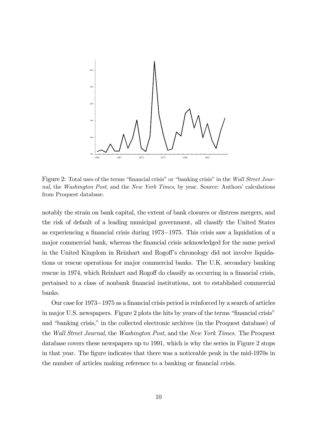

Figure 2: Total uses of the terms "financial crisis" or "banking crisis" in the *Wall Street Journal*, the *Washington Post*, and the *New York Times*, by year. Source: Authors' calculations from Proquest database.

notably the strain on bank capital, the extent of bank closures or distress mergers, and the risk of default of a leading municipal government, all classify the United States as experiencing a financial crisis during 1973−1975. This crisis saw a liquidation of a major commercial bank, whereas the financial crisis acknowledged for the same period in the United Kingdom in Reinhart and Rogoff's chronology did not involve liquidations or rescue operations for major commercial banks. The U.K. secondary banking rescue in 1974, which Reinhart and Rogoff do classify as occurring in a financial crisis, pertained to a class of nonbank financial institutions, not to established commercial banks.

Our case for 1973−1975 as a financial crisis period is reinforced by a search of articles in major U.S. newspapers. Figure 2 plots the hits by years of the terms "financial crisis" and "banking crisis," in the collected electronic archives (in the Proquest database) of the *Wall Street Journal*, the *Washington Post*, and the *New York Times*. The Proquest database covers these newspapers up to 1991, which is why the series in Figure 2 stops in that year. The figure indicates that there was a noticeable peak in the mid-1970s in the number of articles making reference to a banking or financial crisis.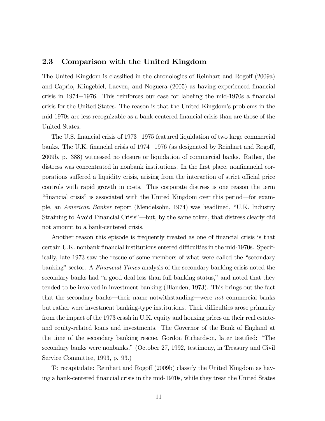#### 2.3 Comparison with the United Kingdom

The United Kingdom is classified in the chronologies of Reinhart and Rogoff (2009a) and Caprio, Klingebiel, Laeven, and Noguera (2005) as having experienced financial crisis in 1974−1976. This reinforces our case for labeling the mid-1970s a financial crisis for the United States. The reason is that the United Kingdom's problems in the mid-1970s are less recognizable as a bank-centered financial crisis than are those of the United States.

The U.S. financial crisis of 1973−1975 featured liquidation of two large commercial banks. The U.K. financial crisis of 1974−1976 (as designated by Reinhart and Rogoff, 2009b, p. 388) witnessed no closure or liquidation of commercial banks. Rather, the distress was concentrated in nonbank institutions. In the first place, nonfinancial corporations suffered a liquidity crisis, arising from the interaction of strict official price controls with rapid growth in costs. This corporate distress is one reason the term "financial crisis" is associated with the United Kingdom over this period–for example, an *American Banker* report (Mendelsohn, 1974) was headlined, "U.K. Industry Straining to Avoid Financial Crisis"–but, by the same token, that distress clearly did not amount to a bank-centered crisis.

Another reason this episode is frequently treated as one of financial crisis is that certain U.K. nonbank financial institutions entered difficulties in the mid-1970s. Specifically, late 1973 saw the rescue of some members of what were called the "secondary banking" sector. A *Financial Times* analysis of the secondary banking crisis noted the secondary banks had "a good deal less than full banking status," and noted that they tended to be involved in investment banking (Blanden, 1973). This brings out the fact that the secondary banks–their name notwithstanding–were *not* commercial banks but rather were investment banking-type institutions. Their difficulties arose primarily from the impact of the 1973 crash in U.K. equity and housing prices on their real estateand equity-related loans and investments. The Governor of the Bank of England at the time of the secondary banking rescue, Gordon Richardson, later testified: "The secondary banks were nonbanks." (October 27, 1992, testimony, in Treasury and Civil Service Committee, 1993, p. 93.)

To recapitulate: Reinhart and Rogoff (2009b) classify the United Kingdom as having a bank-centered financial crisis in the mid-1970s, while they treat the United States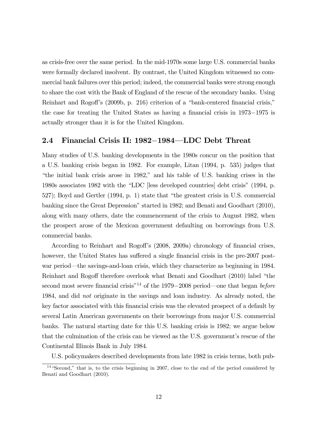as crisis-free over the same period. In the mid-1970s some large U.S. commercial banks were formally declared insolvent. By contrast, the United Kingdom witnessed no commercial bank failures over this period; indeed, the commercial banks were strong enough to share the cost with the Bank of England of the rescue of the secondary banks. Using Reinhart and Rogoff's (2009b, p. 216) criterion of a "bank-centered financial crisis," the case for treating the United States as having a financial crisis in 1973−1975 is actually stronger than it is for the United Kingdom.

#### 2.4 Financial Crisis II: 1982−1984–LDC Debt Threat

Many studies of U.S. banking developments in the 1980s concur on the position that a U.S. banking crisis began in 1982. For example, Litan (1994, p. 535) judges that "the initial bank crisis arose in 1982," and his table of U.S. banking crises in the 1980s associates 1982 with the "LDC [less developed countries] debt crisis" (1994, p. 527); Boyd and Gertler (1994, p. 1) state that "the greatest crisis in U.S. commercial banking since the Great Depression" started in 1982; and Benati and Goodhart (2010), along with many others, date the commencement of the crisis to August 1982, when the prospect arose of the Mexican government defaulting on borrowings from U.S. commercial banks.

According to Reinhart and Rogoff's (2008, 2009a) chronology of financial crises, however, the United States has suffered a single financial crisis in the pre-2007 postwar period–the savings-and-loan crisis, which they characterize as beginning in 1984. Reinhart and Rogoff therefore overlook what Benati and Goodhart (2010) label "the second most severe financial crisis"<sup>14</sup> of the 1979−2008 period–one that began *before* 1984, and did *not* originate in the savings and loan industry. As already noted, the key factor associated with this financial crisis was the elevated prospect of a default by several Latin American governments on their borrowings from major U.S. commercial banks. The natural starting date for this U.S. banking crisis is 1982; we argue below that the culmination of the crisis can be viewed as the U.S. government's rescue of the Continental Illinois Bank in July 1984.

U.S. policymakers described developments from late 1982 in crisis terms, both pub-

<sup>&</sup>lt;sup>14</sup> "Second," that is, to the crisis beginning in 2007, close to the end of the period considered by Benati and Goodhart (2010).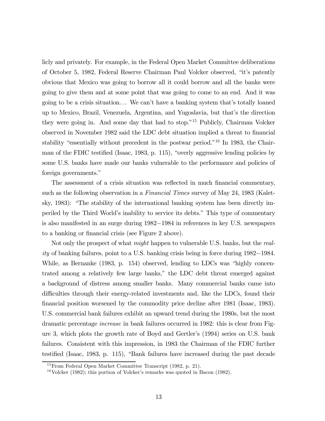licly and privately. For example, in the Federal Open Market Committee deliberations of October 5, 1982, Federal Reserve Chairman Paul Volcker observed, "it's patently obvious that Mexico was going to borrow all it could borrow and all the banks were going to give them and at some point that was going to come to an end. And it was going to be a crisis situation. . . We can't have a banking system that's totally loaned up to Mexico, Brazil, Venezuela, Argentina, and Yugoslavia, but that's the direction they were going in. And some day that had to stop."<sup>15</sup> Publicly, Chairman Volcker observed in November 1982 said the LDC debt situation implied a threat to financial stability "essentially without precedent in the postwar period."<sup>16</sup> In 1983, the Chairman of the FDIC testified (Isaac, 1983, p. 115), "overly aggressive lending policies by some U.S. banks have made our banks vulnerable to the performance and policies of foreign governments."

The assessment of a crisis situation was reflected in much financial commentary, such as the following observation in a *Financial Times* survey of May 24, 1983 (Kaletsky, 1983): "The stability of the international banking system has been directly imperiled by the Third World's inability to service its debts." This type of commentary is also manifested in an surge during 1982−1984 in references in key U.S. newspapers to a banking or financial crisis (see Figure 2 above).

Not only the prospect of what *might* happen to vulnerable U.S. banks, but the *reality* of banking failures, point to a U.S. banking crisis being in force during 1982−1984. While, as Bernanke (1983, p. 154) observed, lending to LDCs was "highly concentrated among a relatively few large banks," the LDC debt threat emerged against a background of distress among smaller banks. Many commercial banks came into difficulties through their energy-related investments and, like the LDCs, found their financial position worsened by the commodity price decline after 1981 (Isaac, 1983). U.S. commercial bank failures exhibit an upward trend during the 1980s, but the most dramatic percentage *increase* in bank failures occurred in 1982: this is clear from Figure 3, which plots the growth rate of Boyd and Gertler's (1994) series on U.S. bank failures. Consistent with this impression, in 1983 the Chairman of the FDIC further testified (Isaac, 1983, p. 115), "Bank failures have increased during the past decade

<sup>15</sup>From Federal Open Market Committee Transcript (1982, p. 21).

<sup>16</sup>Volcker (1982); this portion of Volcker's remarks was quoted in Bacon (1982).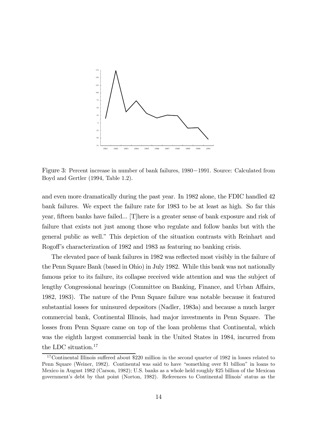

Figure 3: Percent increase in number of bank failures, 1980−1991. Source: Calculated from Boyd and Gertler (1994, Table 1.2).

and even more dramatically during the past year. In 1982 alone, the FDIC handled 42 bank failures. We expect the failure rate for 1983 to be at least as high. So far this year, fifteen banks have failed... [T]here is a greater sense of bank exposure and risk of failure that exists not just among those who regulate and follow banks but with the general public as well." This depiction of the situation contrasts with Reinhart and Rogoff's characterization of 1982 and 1983 as featuring no banking crisis.

The elevated pace of bank failures in 1982 was reflected most visibly in the failure of the Penn Square Bank (based in Ohio) in July 1982. While this bank was not nationally famous prior to its failure, its collapse received wide attention and was the subject of lengthy Congressional hearings (Committee on Banking, Finance, and Urban Affairs, 1982, 1983). The nature of the Penn Square failure was notable because it featured substantial losses for uninsured depositors (Nadler, 1983a) and because a much larger commercial bank, Continental Illinois, had major investments in Penn Square. The losses from Penn Square came on top of the loan problems that Continental, which was the eighth largest commercial bank in the United States in 1984, incurred from the LDC situation.<sup>17</sup>

<sup>&</sup>lt;sup>17</sup>Continental Illinois suffered about \$220 million in the second quarter of 1982 in losses related to Penn Square (Weiner, 1982). Continental was said to have "something over \$1 billion" in loans to Mexico in August 1982 (Carson, 1982); U.S. banks as a whole held roughly \$25 billion of the Mexican government's debt by that point (Norton, 1982). References to Continental Illinois' status as the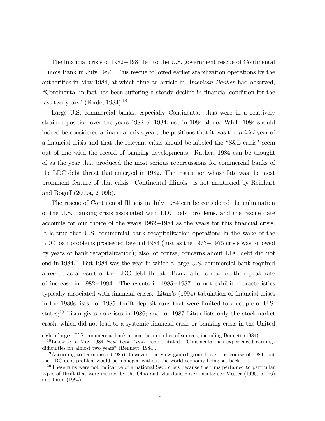The financial crisis of 1982−1984 led to the U.S. government rescue of Continental Illinois Bank in July 1984. This rescue followed earlier stabilization operations by the authorities in May 1984, at which time an article in *American Banker* had observed, "Continental in fact has been suffering a steady decline in financial condition for the last two years" (Forde,  $1984$ ).<sup>18</sup>

Large U.S. commercial banks, especially Continental, thus were in a relatively strained position over the years 1982 to 1984, not in 1984 alone. While 1984 should indeed be considered a financial crisis year, the positions that it was the *initial* year of a financial crisis and that the relevant crisis should be labeled the "S&L crisis" seem out of line with the record of banking developments. Rather, 1984 can be thought of as the year that produced the most serious repercussions for commercial banks of the LDC debt threat that emerged in 1982. The institution whose fate was the most prominent feature of that crisis–Continental Illinois–is not mentioned by Reinhart and Rogoff (2009a, 2009b).

The rescue of Continental Illinois in July 1984 can be considered the culmination of the U.S. banking crisis associated with LDC debt problems, and the rescue date accounts for our choice of the years 1982−1984 as the years for this financial crisis. It is true that U.S. commercial bank recapitalization operations in the wake of the LDC loan problems proceeded beyond 1984 (just as the 1973−1975 crisis was followed by years of bank recapitalization); also, of course, concerns about LDC debt did not end in 1984.<sup>19</sup> But 1984 was the year in which a large U.S. commercial bank required a rescue as a result of the LDC debt threat. Bank failures reached their peak rate of increase in 1982−1984. The events in 1985−1987 do not exhibit characteristics typically associated with financial crises. Litan's (1994) tabulation of financial crises in the 1980s lists, for 1985, thrift deposit runs that were limited to a couple of U.S. states;<sup>20</sup> Litan gives no crises in 1986; and for 1987 Litan lists only the stockmarket crash, which did not lead to a systemic financial crisis or banking crisis in the United

eighth largest U.S. commercial bank appear in a number of sources, including Bennett (1984).

<sup>18</sup>Likewise, a May 1984 *New York Times* report stated, "Continental has experienced earnings difficulties for almost two years" (Bennett, 1984).

<sup>&</sup>lt;sup>19</sup>According to Dornbusch (1985), however, the view gained ground over the course of 1984 that the LDC debt problem would be managed without the world economy being set back.

<sup>&</sup>lt;sup>20</sup>These runs were not indicative of a national S&L crisis because the runs pertained to particular types of thrift that were insured by the Ohio and Maryland governments; see Mester (1990, p. 16) and Litan (1994).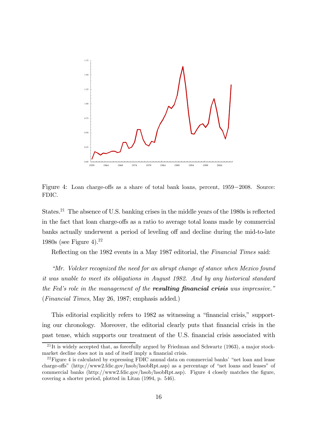

Figure 4: Loan charge-offs as a share of total bank loans, percent, 1959−2008. Source: FDIC.

States.<sup>21</sup> The absence of U.S. banking crises in the middle years of the 1980s is reflected in the fact that loan charge-offs as a ratio to average total loans made by commercial banks actually underwent a period of leveling off and decline during the mid-to-late 1980s (see Figure 4).<sup>22</sup>

Reflecting on the 1982 events in a May 1987 editorial, the *Financial Times* said:

*"Mr. Volcker recognized the need for an abrupt change of stance when Mexico found it was unable to meet its obligations in August 1982. And by any historical standard the Fed's role in the management of the* resulting financial crisis *was impressive."* (*Financial Times*, May 26, 1987; emphasis added.)

This editorial explicitly refers to 1982 as witnessing a "financial crisis," supporting our chronology. Moreover, the editorial clearly puts that financial crisis in the past tense, which supports our treatment of the U.S. financial crisis associated with

<sup>&</sup>lt;sup>21</sup>It is widely accepted that, as forcefully argued by Friedman and Schwartz (1963), a major stockmarket decline does not in and of itself imply a financial crisis.

 $^{22}$ Figure 4 is calculated by expressing FDIC annual data on commercial banks' "net loan and lease charge-offs" (http://www2.fdic.gov/hsob/hsobRpt.asp) as a percentage of "net loans and leases" of commercial banks (http://www2.fdic.gov/hsob/hsobRpt.asp). Figure 4 closely matches the figure, covering a shorter period, plotted in Litan (1994, p. 546).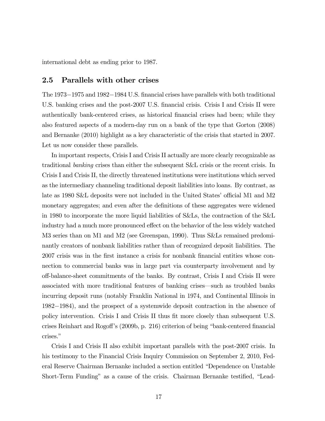international debt as ending prior to 1987.

#### 2.5 Parallels with other crises

The 1973−1975 and 1982−1984 U.S. financial crises have parallels with both traditional U.S. banking crises and the post-2007 U.S. financial crisis. Crisis I and Crisis II were authentically bank-centered crises, as historical financial crises had been; while they also featured aspects of a modern-day run on a bank of the type that Gorton (2008) and Bernanke (2010) highlight as a key characteristic of the crisis that started in 2007. Let us now consider these parallels.

In important respects, Crisis I and Crisis II actually are more clearly recognizable as traditional *banking* crises than either the subsequent S&L crisis or the recent crisis. In Crisis I and Crisis II, the directly threatened institutions were institutions which served as the intermediary channeling traditional deposit liabilities into loans. By contrast, as late as 1980 S&L deposits were not included in the United States' official M1 and M2 monetary aggregates; and even after the definitions of these aggregates were widened in 1980 to incorporate the more liquid liabilities of S&Ls, the contraction of the S&L industry had a much more pronounced effect on the behavior of the less widely watched M3 series than on M1 and M2 (see Greenspan, 1990). Thus S&Ls remained predominantly creators of nonbank liabilities rather than of recognized deposit liabilities. The 2007 crisis was in the first instance a crisis for nonbank financial entities whose connection to commercial banks was in large part via counterparty involvement and by off-balance-sheet commitments of the banks. By contrast, Crisis I and Crisis II were associated with more traditional features of banking crises–such as troubled banks incurring deposit runs (notably Franklin National in 1974, and Continental Illinois in 1982−1984), and the prospect of a systemwide deposit contraction in the absence of policy intervention. Crisis I and Crisis II thus fit more closely than subsequent U.S. crises Reinhart and Rogoff's (2009b, p. 216) criterion of being "bank-centered financial crises."

Crisis I and Crisis II also exhibit important parallels with the post-2007 crisis. In his testimony to the Financial Crisis Inquiry Commission on September 2, 2010, Federal Reserve Chairman Bernanke included a section entitled "Dependence on Unstable Short-Term Funding" as a cause of the crisis. Chairman Bernanke testified, "Lead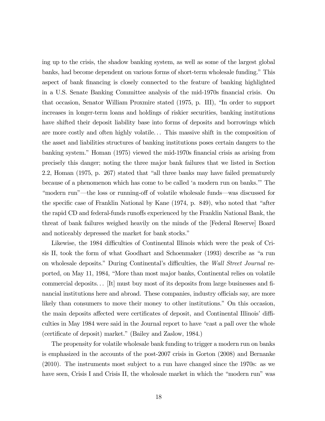ing up to the crisis, the shadow banking system, as well as some of the largest global banks, had become dependent on various forms of short-term wholesale funding." This aspect of bank financing is closely connected to the feature of banking highlighted in a U.S. Senate Banking Committee analysis of the mid-1970s financial crisis. On that occasion, Senator William Proxmire stated (1975, p. III), "In order to support increases in longer-term loans and holdings of riskier securities, banking institutions have shifted their deposit liability base into forms of deposits and borrowings which are more costly and often highly volatile. . . This massive shift in the composition of the asset and liabilities structures of banking institutions poses certain dangers to the banking system." Homan (1975) viewed the mid-1970s financial crisis as arising from precisely this danger; noting the three major bank failures that we listed in Section 2.2, Homan (1975, p. 267) stated that "all three banks may have failed prematurely because of a phenomenon which has come to be called 'a modern run on banks.'" The "modern run"–the loss or running-off of volatile wholesale funds–was discussed for the specific case of Franklin National by Kane (1974, p. 849), who noted that "after the rapid CD and federal-funds runoffs experienced by the Franklin National Bank, the threat of bank failures weighed heavily on the minds of the [Federal Reserve] Board and noticeably depressed the market for bank stocks."

Likewise, the 1984 difficulties of Continental Illinois which were the peak of Crisis II, took the form of what Goodhart and Schoenmaker (1993) describe as "a run on wholesale deposits." During Continental's difficulties, the *Wall Street Journal* reported, on May 11, 1984, "More than most major banks, Continental relies on volatile commercial deposits. . . [It] must buy most of its deposits from large businesses and financial institutions here and abroad. These companies, industry officials say, are more likely than consumers to move their money to other institutions." On this occasion, the main deposits affected were certificates of deposit, and Continental Illinois' difficulties in May 1984 were said in the Journal report to have "cast a pall over the whole (certificate of deposit) market." (Bailey and Zaslow, 1984.)

The propensity for volatile wholesale bank funding to trigger a modern run on banks is emphasized in the accounts of the post-2007 crisis in Gorton (2008) and Bernanke (2010). The instruments most subject to a run have changed since the 1970s: as we have seen, Crisis I and Crisis II, the wholesale market in which the "modern run" was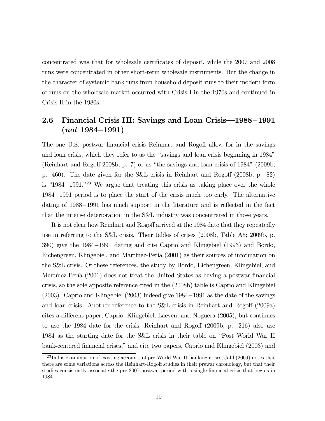concentrated was that for wholesale certificates of deposit, while the 2007 and 2008 runs were concentrated in other short-term wholesale instruments. But the change in the character of systemic bank runs from household deposit runs to their modern form of runs on the wholesale market occurred with Crisis I in the 1970s and continued in Crisis II in the 1980s.

## 2.6 Financial Crisis III: Savings and Loan Crisis–1988−1991  $(not 1984-1991)$

The one U.S. postwar financial crisis Reinhart and Rogoff allow for in the savings and loan crisis, which they refer to as the "savings and loan crisis beginning in 1984" (Reinhart and Rogoff 2008b, p. 7) or as "the savings and loan crisis of 1984" (2009b, p. 460). The date given for the S&L crisis in Reinhart and Rogoff (2008b, p. 82) is "1984−1991."<sup>23</sup> We argue that treating this crisis as taking place over the whole 1984−1991 period is to place the start of the crisis much too early. The alternative dating of 1988−1991 has much support in the literature and is reflected in the fact that the intense deterioration in the S&L industry was concentrated in those years.

It is not clear how Reinhart and Rogoff arrived at the 1984 date that they repeatedly use in referring to the S&L crisis. Their tables of crises (2008b, Table A5; 2009b, p. 390) give the 1984−1991 dating and cite Caprio and Klingebiel (1993) and Bordo, Eichengreen, Klingebiel, and Martínez-Pería (2001) as their sources of information on the S&L crisis. Of these references, the study by Bordo, Eichengreen, Klingebiel, and Martínez-Pería (2001) does not treat the United States as having a postwar financial crisis, so the sole apposite reference cited in the (2008b) table is Caprio and Klingebiel (2003). Caprio and Klingebiel (2003) indeed give 1984−1991 as the date of the savings and loan crisis. Another reference to the S&L crisis in Reinhart and Rogoff (2009a) cites a different paper, Caprio, Klingebiel, Laeven, and Noguera (2005), but continues to use the 1984 date for the crisis; Reinhart and Rogoff (2009b, p. 216) also use 1984 as the starting date for the S&L crisis in their table on "Post World War II bank-centered financial crises," and cite two papers, Caprio and Klingebiel (2003) and

 $^{23}$ In his examination of existing accounts of pre-World War II banking crises, Jalil (2009) notes that there are some variations across the Reinhart-Rogoff studies in their prewar chronology, but that their studies consistently associate the pre-2007 postwar period with a single financial crisis that begins in 1984.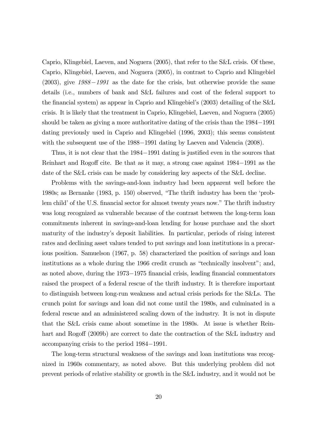Caprio, Klingebiel, Laeven, and Noguera (2005), that refer to the S&L crisis. Of these, Caprio, Klingebiel, Laeven, and Noguera (2005), in contrast to Caprio and Klingebiel (2003), give *1988*−*1991* as the date for the crisis, but otherwise provide the same details (i.e., numbers of bank and S&L failures and cost of the federal support to the financial system) as appear in Caprio and Klingebiel's (2003) detailing of the S&L crisis. It is likely that the treatment in Caprio, Klingebiel, Laeven, and Noguera (2005) should be taken as giving a more authoritative dating of the crisis than the 1984−1991 dating previously used in Caprio and Klingebiel (1996, 2003); this seems consistent with the subsequent use of the 1988−1991 dating by Laeven and Valencia (2008).

Thus, it is not clear that the 1984−1991 dating is justified even in the sources that Reinhart and Rogoff cite. Be that as it may, a strong case against 1984−1991 as the date of the S&L crisis can be made by considering key aspects of the S&L decline.

Problems with the savings-and-loan industry had been apparent well before the 1980s; as Bernanke (1983, p. 150) observed, "The thrift industry has been the 'problem child' of the U.S. financial sector for almost twenty years now." The thrift industry was long recognized as vulnerable because of the contrast between the long-term loan commitments inherent in savings-and-loan lending for house purchase and the short maturity of the industry's deposit liabilities. In particular, periods of rising interest rates and declining asset values tended to put savings and loan institutions in a precarious position. Samuelson (1967, p. 58) characterized the position of savings and loan institutions as a whole during the 1966 credit crunch as "technically insolvent"; and, as noted above, during the 1973−<sup>1975</sup> financial crisis, leading financial commentators raised the prospect of a federal rescue of the thrift industry. It is therefore important to distinguish between long-run weakness and actual crisis periods for the S&Ls. The crunch point for savings and loan did not come until the 1980s, and culminated in a federal rescue and an administered scaling down of the industry. It is not in dispute that the S&L crisis came about sometime in the 1980s. At issue is whether Reinhart and Rogoff (2009b) are correct to date the contraction of the S&L industry and accompanying crisis to the period 1984−1991.

The long-term structural weakness of the savings and loan institutions was recognized in 1960s commentary, as noted above. But this underlying problem did not prevent periods of relative stability or growth in the S&L industry, and it would not be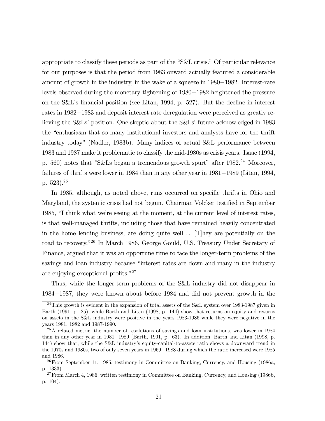appropriate to classify these periods as part of the "S&L crisis." Of particular relevance for our purposes is that the period from 1983 onward actually featured a considerable amount of growth in the industry, in the wake of a squeeze in 1980−1982. Interest-rate levels observed during the monetary tightening of 1980−1982 heightened the pressure on the S&L's financial position (see Litan, 1994, p. 527). But the decline in interest rates in 1982−1983 and deposit interest rate deregulation were perceived as greatly relieving the S&Ls' position. One skeptic about the S&Ls' future acknowledged in 1983 the "enthusiasm that so many institutional investors and analysts have for the thrift industry today" (Nadler, 1983b). Many indices of actual S&L performance between 1983 and 1987 make it problematic to classify the mid-1980s as crisis years. Isaac (1994, p. 560) notes that "S&Ls began a tremendous growth spurt" after  $1982<sup>24</sup>$  Moreover, failures of thrifts were lower in 1984 than in any other year in 1981−1989 (Litan, 1994, p.  $523$ ).<sup>25</sup>

In 1985, although, as noted above, runs occurred on specific thrifts in Ohio and Maryland, the systemic crisis had not begun. Chairman Volcker testified in September 1985, "I think what we're seeing at the moment, at the current level of interest rates, is that well-managed thrifts, including those that have remained heavily concentrated in the home lending business, are doing quite well. . . [T]hey are potentially on the road to recovery."<sup>26</sup> In March 1986, George Gould, U.S. Treasury Under Secretary of Finance, argued that it was an opportune time to face the longer-term problems of the savings and loan industry because "interest rates are down and many in the industry are enjoying exceptional profits."<sup>27</sup>

Thus, while the longer-term problems of the S&L industry did not disappear in 1984−1987, they were known about before 1984 and did not prevent growth in the

<sup>&</sup>lt;sup>24</sup>This growth is evident in the expansion of total assets of the S&L system over 1983-1987 given in Barth (1991, p. 25), while Barth and Litan (1998, p. 144) show that returns on equity and returns on assets in the S&L industry were positive in the years 1983-1986 while they were negative in the years 1981, 1982 and 1987-1990.

<sup>25</sup>A related metric, the number of resolutions of savings and loan institutions, was lower in 1984 than in any other year in 1981−1989 (Barth, 1991, p. 63). In addition, Barth and Litan (1998, p. 144) show that, while the S&L industry's equity-capital-to-assets ratio shows a downward trend in the 1970s and 1980s, two of only seven years in 1969−1988 during which the ratio increased were 1985 and 1986.

 $^{26}$ From September 11, 1985, testimony in Committee on Banking, Currency, and Housing (1986a, p. 1333).

 $^{27}$ From March 4, 1986, written testimony in Committee on Banking, Currency, and Housing (1986b, p. 104).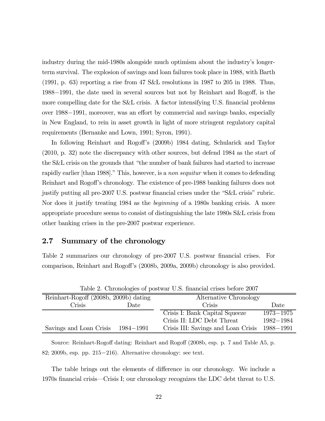industry during the mid-1980s alongside much optimism about the industry's longerterm survival. The explosion of savings and loan failures took place in 1988, with Barth (1991, p. 63) reporting a rise from 47 S&L resolutions in 1987 to 205 in 1988. Thus, 1988−1991, the date used in several sources but not by Reinhart and Rogoff, is the more compelling date for the S&L crisis. A factor intensifying U.S. financial problems over 1988−1991, moreover, was an effort by commercial and savings banks, especially in New England, to rein in asset growth in light of more stringent regulatory capital requirements (Bernanke and Lown, 1991; Syron, 1991).

In following Reinhart and Rogoff's (2009b) 1984 dating, Schularick and Taylor (2010, p. 32) note the discrepancy with other sources, but defend 1984 as the start of the S&L crisis on the grounds that "the number of bank failures had started to increase rapidly earlier [than 1988]." This, however, is a *non sequitur* when it comes to defending Reinhart and Rogoff's chronology. The existence of pre-1988 banking failures does not justify putting all pre-2007 U.S. postwar financial crises under the "S&L crisis" rubric. Nor does it justify treating 1984 as the *beginning* of a 1980s banking crisis. A more appropriate procedure seems to consist of distinguishing the late 1980s S&L crisis from other banking crises in the pre-2007 postwar experience.

## 2.7 Summary of the chronology

Table 2 summarizes our chronology of pre-2007 U.S. postwar financial crises. For comparison, Reinhart and Rogoff's (2008b, 2009a, 2009b) chronology is also provided.

| $\pm$ $\frac{1}{2}$ $\frac{1}{2}$ $\frac{1}{2}$ $\frac{1}{2}$ $\frac{1}{2}$ $\frac{1}{2}$ $\frac{1}{2}$ $\frac{1}{2}$ $\frac{1}{2}$ $\frac{1}{2}$ $\frac{1}{2}$ $\frac{1}{2}$ $\frac{1}{2}$ $\frac{1}{2}$ $\frac{1}{2}$ $\frac{1}{2}$ $\frac{1}{2}$ $\frac{1}{2}$ $\frac{1}{2}$ $\frac{1}{2}$ $\frac{1}{2}$ $\frac{1}{$ |           |                                     |               |  |
|-------------------------------------------------------------------------------------------------------------------------------------------------------------------------------------------------------------------------------------------------------------------------------------------------------------------------|-----------|-------------------------------------|---------------|--|
| Reinhart-Rogoff (2008b, 2009b) dating                                                                                                                                                                                                                                                                                   |           | Alternative Chronology              |               |  |
| Crisis                                                                                                                                                                                                                                                                                                                  | Date      | Crisis                              | Date          |  |
|                                                                                                                                                                                                                                                                                                                         |           | Crisis I: Bank Capital Squeeze      | $1973 - 1975$ |  |
|                                                                                                                                                                                                                                                                                                                         |           | Crisis II: LDC Debt Threat          | 1982-1984     |  |
| Savings and Loan Crisis                                                                                                                                                                                                                                                                                                 | 1984-1991 | Crisis III: Savings and Loan Crisis | 1988–1991     |  |

Table 2. Chronologies of postwar U.S. financial crises before 2007

Source: Reinhart-Rogoff dating: Reinhart and Rogoff (2008b, esp. p. 7 and Table A5, p. 82; 2009b, esp. pp. 215−216). Alternative chronology: see text.

The table brings out the elements of difference in our chronology. We include a 1970s financial crisis–Crisis I; our chronology recognizes the LDC debt threat to U.S.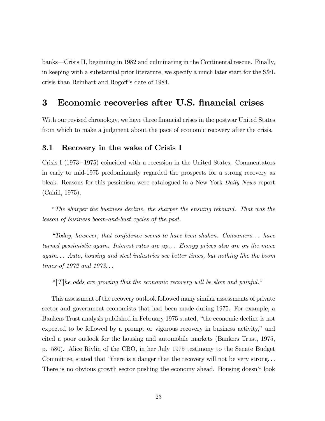banks–Crisis II, beginning in 1982 and culminating in the Continental rescue. Finally, in keeping with a substantial prior literature, we specify a much later start for the S&L crisis than Reinhart and Rogoff's date of 1984.

# 3 Economic recoveries after U.S. financial crises

With our revised chronology, we have three financial crises in the postwar United States from which to make a judgment about the pace of economic recovery after the crisis.

### 3.1 Recovery in the wake of Crisis I

Crisis I (1973−1975) coincided with a recession in the United States. Commentators in early to mid-1975 predominantly regarded the prospects for a strong recovery as bleak. Reasons for this pessimism were catalogued in a New York *Daily News* report (Cahill, 1975),

"*The sharper the business decline, the sharper the ensuing rebound. That was the lesson of business boom-and-bust cycles of the past.*

*"Today, however, that con*fi*dence seems to have been shaken. Consumers. . . have turned pessimistic again. Interest rates are up. . . Energy prices also are on the move again. . . Auto, housing and steel industries see better times, but nothing like the boom times of 1972 and 1973. . .*

*"* [*T*]*he odds are growing that the economic recovery will be slow and painful."*

This assessment of the recovery outlook followed many similar assessments of private sector and government economists that had been made during 1975. For example, a Bankers Trust analysis published in February 1975 stated, "the economic decline is not expected to be followed by a prompt or vigorous recovery in business activity," and cited a poor outlook for the housing and automobile markets (Bankers Trust, 1975, p. 580). Alice Rivlin of the CBO, in her July 1975 testimony to the Senate Budget Committee, stated that "there is a danger that the recovery will not be very strong. . . There is no obvious growth sector pushing the economy ahead. Housing doesn't look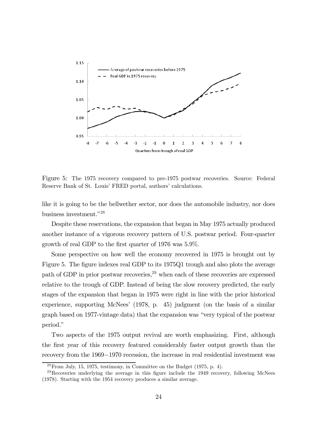

Figure 5: The 1975 recovery compared to pre-1975 postwar recoveries. Source: Federal Reserve Bank of St. Louis' FRED portal, authors' calculations.

like it is going to be the bellwether sector, nor does the automobile industry, nor does business investment."<sup>28</sup>

Despite these reservations, the expansion that began in May 1975 actually produced another instance of a vigorous recovery pattern of U.S. postwar period. Four-quarter growth of real GDP to the first quarter of 1976 was 5.9%.

Some perspective on how well the economy recovered in 1975 is brought out by Figure 5. The figure indexes real GDP to its 1975Q1 trough and also plots the average path of GDP in prior postwar recoveries,<sup>29</sup> when each of these recoveries are expressed relative to the trough of GDP. Instead of being the slow recovery predicted, the early stages of the expansion that began in 1975 were right in line with the prior historical experience, supporting McNees' (1978, p. 45) judgment (on the basis of a similar graph based on 1977-vintage data) that the expansion was "very typical of the postwar period."

Two aspects of the 1975 output revival are worth emphasizing. First, although the first year of this recovery featured considerably faster output growth than the recovery from the 1969−1970 recession, the increase in real residential investment was

 $28$  From July, 15, 1975, testimony, in Committee on the Budget (1975, p. 4).

 $^{29}$ Recoveries underlying the average in this figure include the 1949 recovery, following McNees (1978). Starting with the 1954 recovery produces a similar average.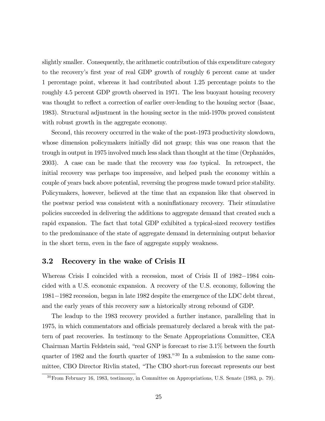slightly smaller. Consequently, the arithmetic contribution of this expenditure category to the recovery's first year of real GDP growth of roughly 6 percent came at under 1 percentage point, whereas it had contributed about 1.25 percentage points to the roughly 4.5 percent GDP growth observed in 1971. The less buoyant housing recovery was thought to reflect a correction of earlier over-lending to the housing sector (Isaac, 1983). Structural adjustment in the housing sector in the mid-1970s proved consistent with robust growth in the aggregate economy.

Second, this recovery occurred in the wake of the post-1973 productivity slowdown, whose dimension policymakers initially did not grasp; this was one reason that the trough in output in 1975 involved much less slack than thought at the time (Orphanides, 2003). A case can be made that the recovery was *too* typical. In retrospect, the initial recovery was perhaps too impressive, and helped push the economy within a couple of years back above potential, reversing the progress made toward price stability. Policymakers, however, believed at the time that an expansion like that observed in the postwar period was consistent with a noninflationary recovery. Their stimulative policies succeeded in delivering the additions to aggregate demand that created such a rapid expansion. The fact that total GDP exhibited a typical-sized recovery testifies to the predominance of the state of aggregate demand in determining output behavior in the short term, even in the face of aggregate supply weakness.

### 3.2 Recovery in the wake of Crisis II

Whereas Crisis I coincided with a recession, most of Crisis II of 1982−1984 coincided with a U.S. economic expansion. A recovery of the U.S. economy, following the 1981−1982 recession, began in late 1982 despite the emergence of the LDC debt threat, and the early years of this recovery saw a historically strong rebound of GDP.

The leadup to the 1983 recovery provided a further instance, paralleling that in 1975, in which commentators and officials prematurely declared a break with the pattern of past recoveries. In testimony to the Senate Appropriations Committee, CEA Chairman Martin Feldstein said, "real GNP is forecast to rise 3.1% between the fourth quarter of 1982 and the fourth quarter of 1983."<sup>30</sup> In a submission to the same committee, CBO Director Rivlin stated, "The CBO short-run forecast represents our best

<sup>30</sup>From February 16, 1983, testimony, in Committee on Appropriations, U.S. Senate (1983, p. 79).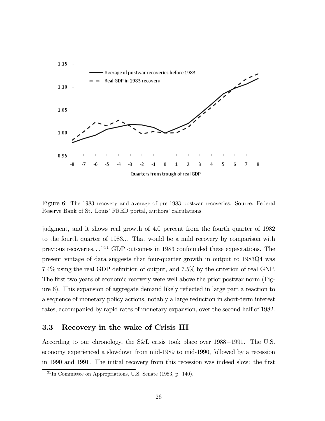

Figure 6: The 1983 recovery and average of pre-1983 postwar recoveries. Source: Federal Reserve Bank of St. Louis' FRED portal, authors' calculations.

judgment, and it shows real growth of 4.0 percent from the fourth quarter of 1982 to the fourth quarter of 1983... That would be a mild recovery by comparison with previous recoveries. . . "<sup>31</sup> GDP outcomes in 1983 confounded these expectations. The present vintage of data suggests that four-quarter growth in output to 1983Q4 was 7.4% using the real GDP definition of output, and 7.5% by the criterion of real GNP. The first two years of economic recovery were well above the prior postwar norm (Figure 6). This expansion of aggregate demand likely reflected in large part a reaction to a sequence of monetary policy actions, notably a large reduction in short-term interest rates, accompanied by rapid rates of monetary expansion, over the second half of 1982.

#### 3.3 Recovery in the wake of Crisis III

According to our chronology, the S&L crisis took place over 1988−1991. The U.S. economy experienced a slowdown from mid-1989 to mid-1990, followed by a recession in 1990 and 1991. The initial recovery from this recession was indeed slow: the first

 $31$ In Committee on Appropriations, U.S. Senate (1983, p. 140).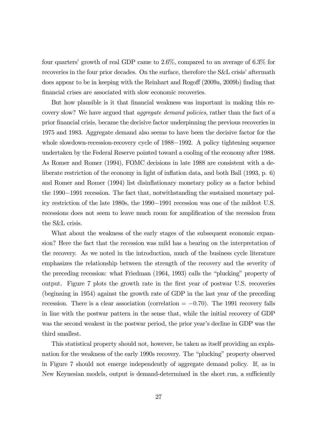four quarters' growth of real GDP came to 2.6%, compared to an average of 6.3% for recoveries in the four prior decades. On the surface, therefore the S&L crisis' aftermath does appear to be in keeping with the Reinhart and Rogoff (2009a, 2009b) finding that financial crises are associated with slow economic recoveries.

But how plausible is it that financial weakness was important in making this recovery slow? We have argued that *aggregate demand policies*, rather than the fact of a prior financial crisis, became the decisive factor underpinning the previous recoveries in 1975 and 1983. Aggregate demand also seems to have been the decisive factor for the whole slowdown-recession-recovery cycle of 1988−1992. A policy tightening sequence undertaken by the Federal Reserve pointed toward a cooling of the economy after 1988. As Romer and Romer (1994), FOMC decisions in late 1988 are consistent with a deliberate restriction of the economy in light of inflation data, and both Ball (1993, p. 6) and Romer and Romer (1994) list disinflationary monetary policy as a factor behind the 1990−1991 recession. The fact that, notwithstanding the sustained monetary policy restriction of the late 1980s, the 1990−1991 recession was one of the mildest U.S. recessions does not seem to leave much room for amplification of the recession from the S&L crisis.

What about the weakness of the early stages of the subsequent economic expansion? Here the fact that the recession was mild has a bearing on the interpretation of the recovery. As we noted in the introduction, much of the business cycle literature emphasizes the relationship between the strength of the recovery and the severity of the preceding recession: what Friedman (1964, 1993) calls the "plucking" property of output. Figure 7 plots the growth rate in the first year of postwar U.S. recoveries (beginning in 1954) against the growth rate of GDP in the last year of the preceding recession. There is a clear association (correlation  $= -0.70$ ). The 1991 recovery falls in line with the postwar pattern in the sense that, while the initial recovery of GDP was the second weakest in the postwar period, the prior year's decline in GDP was the third smallest.

This statistical property should not, however, be taken as itself providing an explanation for the weakness of the early 1990s recovery. The "plucking" property observed in Figure 7 should not emerge independently of aggregate demand policy. If, as in New Keynesian models, output is demand-determined in the short run, a sufficiently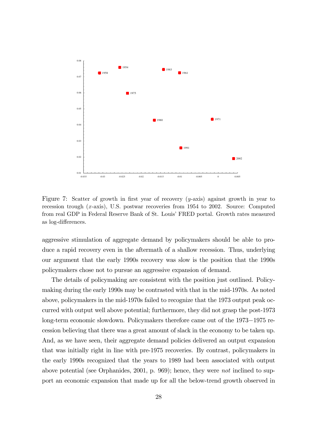

Figure 7: Scatter of growth in first year of recovery (*y*-axis) against growth in year to recession trough (*x*-axis), U.S. postwar recoveries from 1954 to 2002. Source: Computed from real GDP in Federal Reserve Bank of St. Louis' FRED portal. Growth rates measured as log-differences.

aggressive stimulation of aggregate demand by policymakers should be able to produce a rapid recovery even in the aftermath of a shallow recession. Thus, underlying our argument that the early 1990s recovery was slow is the position that the 1990s policymakers chose not to pursue an aggressive expansion of demand.

The details of policymaking are consistent with the position just outlined. Policymaking during the early 1990s may be contrasted with that in the mid-1970s. As noted above, policymakers in the mid-1970s failed to recognize that the 1973 output peak occurred with output well above potential; furthermore, they did not grasp the post-1973 long-term economic slowdown. Policymakers therefore came out of the 1973−1975 recession believing that there was a great amount of slack in the economy to be taken up. And, as we have seen, their aggregate demand policies delivered an output expansion that was initially right in line with pre-1975 recoveries. By contrast, policymakers in the early 1990s recognized that the years to 1989 had been associated with output above potential (see Orphanides, 2001, p. 969); hence, they were *not* inclined to support an economic expansion that made up for all the below-trend growth observed in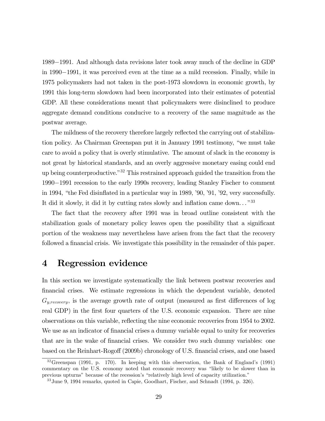1989−1991. And although data revisions later took away much of the decline in GDP in 1990−1991, it was perceived even at the time as a mild recession. Finally, while in 1975 policymakers had not taken in the post-1973 slowdown in economic growth, by 1991 this long-term slowdown had been incorporated into their estimates of potential GDP. All these considerations meant that policymakers were disinclined to produce aggregate demand conditions conducive to a recovery of the same magnitude as the postwar average.

The mildness of the recovery therefore largely reflected the carrying out of stabilization policy. As Chairman Greenspan put it in January 1991 testimony, "we must take care to avoid a policy that is overly stimulative. The amount of slack in the economy is not great by historical standards, and an overly aggressive monetary easing could end up being counterproductive."<sup>32</sup> This restrained approach guided the transition from the 1990−1991 recession to the early 1990s recovery, leading Stanley Fischer to comment in 1994, "the Fed disinflated in a particular way in 1989, '90, '91, '92, very successfully. It did it slowly, it did it by cutting rates slowly and inflation came down..."<sup>33</sup>

The fact that the recovery after 1991 was in broad outline consistent with the stabilization goals of monetary policy leaves open the possibility that a significant portion of the weakness may nevertheless have arisen from the fact that the recovery followed a financial crisis. We investigate this possibility in the remainder of this paper.

# 4 Regression evidence

In this section we investigate systematically the link between postwar recoveries and financial crises. We estimate regressions in which the dependent variable, denoted  $G_{y, recovery}$ , is the average growth rate of output (measured as first differences of log real GDP) in the first four quarters of the U.S. economic expansion. There are nine observations on this variable, reflecting the nine economic recoveries from 1954 to 2002. We use as an indicator of financial crises a dummy variable equal to unity for recoveries that are in the wake of financial crises. We consider two such dummy variables: one based on the Reinhart-Rogoff (2009b) chronology of U.S. financial crises, and one based

 $32G$ reenspan (1991, p. 170). In keeping with this observation, the Bank of England's (1991) commentary on the U.S. economy noted that economic recovery was "likely to be slower than in previous upturns" because of the recession's "relatively high level of capacity utilization."

<sup>33</sup>June 9, 1994 remarks, quoted in Capie, Goodhart, Fischer, and Schnadt (1994, p. 326).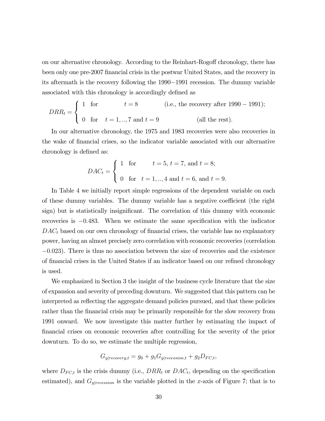on our alternative chronology. According to the Reinhart-Rogoff chronology, there has been only one pre-2007 financial crisis in the postwar United States, and the recovery in its aftermath is the recovery following the 1990−1991 recession. The dummy variable associated with this chronology is accordingly defined as

$$
DRR_t = \begin{cases} 1 & \text{for} & t = 8 \\ 0 & \text{for} & t = 1, ..., 7 \text{ and } t = 9 \end{cases}
$$
 (i.e., the recovery after 1990 – 1991);  
(all the rest).

In our alternative chronology, the 1975 and 1983 recoveries were also recoveries in the wake of financial crises, so the indicator variable associated with our alternative chronology is defined as:

$$
DAC_t = \begin{cases} 1 & \text{for} & t = 5, t = 7, \text{ and } t = 8; \\ 0 & \text{for } t = 1, ..., 4 \text{ and } t = 6, \text{ and } t = 9. \end{cases}
$$

In Table 4 we initially report simple regressions of the dependent variable on each of these dummy variables. The dummy variable has a negative coefficient (the right sign) but is statistically insignificant. The correlation of this dummy with economic recoveries is <sup>−</sup>0483. When we estimate the same specification with the indicator  $DAC<sub>t</sub>$  based on our own chronology of financial crises, the variable has no explanatory power, having an almost precisely zero correlation with economic recoveries (correlation  $-0.023$ ). There is thus no association between the size of recoveries and the existence of financial crises in the United States if an indicator based on our refined chronology is used.

We emphasized in Section 3 the insight of the business cycle literature that the size of expansion and severity of preceding downturn. We suggested that this pattern can be interpreted as reflecting the aggregate demand policies pursued, and that these policies rather than the financial crisis may be primarily responsible for the slow recovery from 1991 onward. We now investigate this matter further by estimating the impact of financial crises on economic recoveries after controlling for the severity of the prior downturn. To do so, we estimate the multiple regression,

$$
G_{y|recovery,t} = g_0 + g_1 G_{y|recession,t} + g_2 D_{FC,t},
$$

where  $D_{FC,t}$  is the crisis dummy (i.e.,  $DRR_t$  or  $DAC_t$ , depending on the specification estimated), and  $G_{y|recession}$  is the variable plotted in the *x*-axis of Figure 7; that is to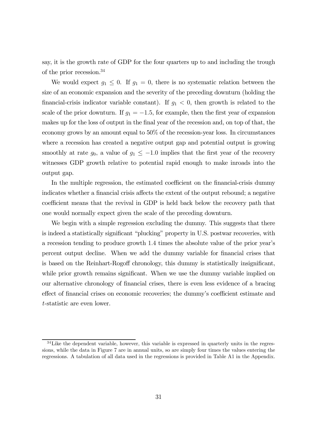say, it is the growth rate of GDP for the four quarters up to and including the trough of the prior recession.<sup>34</sup>

We would expect  $g_1 \leq 0$ . If  $g_1 = 0$ , there is no systematic relation between the size of an economic expansion and the severity of the preceding downturn (holding the financial-crisis indicator variable constant). If  $g_1 < 0$ , then growth is related to the scale of the prior downturn. If  $g_1 = -1.5$ , for example, then the first year of expansion makes up for the loss of output in the final year of the recession and, on top of that, the economy grows by an amount equal to 50% of the recession-year loss. In circumstances where a recession has created a negative output gap and potential output is growing smoothly at rate  $g_0$ , a value of  $g_1 \leq -1.0$  implies that the first year of the recovery witnesses GDP growth relative to potential rapid enough to make inroads into the output gap.

In the multiple regression, the estimated coefficient on the financial-crisis dummy indicates whether a financial crisis affects the extent of the output rebound; a negative coefficient means that the revival in GDP is held back below the recovery path that one would normally expect given the scale of the preceding downturn.

We begin with a simple regression excluding the dummy. This suggests that there is indeed a statistically significant "plucking" property in U.S. postwar recoveries, with a recession tending to produce growth 14 times the absolute value of the prior year's percent output decline. When we add the dummy variable for financial crises that is based on the Reinhart-Rogoff chronology, this dummy is statistically insignificant, while prior growth remains significant. When we use the dummy variable implied on our alternative chronology of financial crises, there is even less evidence of a bracing effect of financial crises on economic recoveries; the dummy's coefficient estimate and *t*-statistic are even lower.

<sup>&</sup>lt;sup>34</sup>Like the dependent variable, however, this variable is expressed in quarterly units in the regressions, while the data in Figure 7 are in annual units, so are simply four times the values entering the regressions. A tabulation of all data used in the regressions is provided in Table A1 in the Appendix.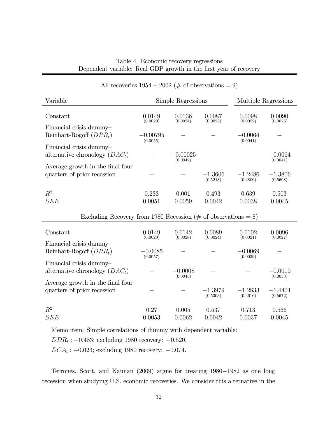| Variable                                                        |                        | Simple Regressions     |                       |                       | Multiple Regressions  |  |
|-----------------------------------------------------------------|------------------------|------------------------|-----------------------|-----------------------|-----------------------|--|
| Constant                                                        | 0.0149<br>(0.0020)     | 0.0136<br>(0.0024)     | 0.0087<br>(0.0023)    | 0.0098<br>(0.0022)    | 0.0090<br>(0.0026)    |  |
| Financial crisis dummy-<br>Reinhart-Rogoff $(DRR_t)$            | $-0.00795$<br>(0.0055) |                        |                       | $-0.0064$<br>(0.0041) |                       |  |
| Financial crisis dummy-<br>alternative chronology $(DAC_t)$     |                        | $-0.00025$<br>(0.0042) |                       |                       | $-0.0064$<br>(0.0041) |  |
| Average growth in the final four<br>quarters of prior recession |                        |                        | $-1.3606$<br>(0.5213) | $-1.2486$<br>(0.4806) | $-1.3806$<br>(0.5608) |  |
| $R^2$<br><b>SEE</b>                                             | 0.233<br>0.0051        | 0.001<br>0.0059        | 0.493<br>0.0042       | 0.639<br>0.0038       | 0.503<br>0.0045       |  |
| Excluding Recovery from 1980 Recession (# of observations = 8)  |                        |                        |                       |                       |                       |  |
| Constant                                                        | 0.0149<br>(0.0020)     | 0.0142<br>(0.0028)     | 0.0089<br>(0.0024)    | 0.0102<br>(0.0021)    | 0.0096<br>(0.0027)    |  |
| Financial crisis dummy-<br>Reinhart-Rogoff $(DRR_t)$            | $-0.0085$<br>(0.0057)  |                        |                       | $-0.0069$<br>(0.0039) |                       |  |
| Financial crisis dummy-<br>alternative chronology $(DAC_t)$     |                        | $-0.0008$<br>(0.0045)  |                       |                       | $-0.0019$<br>(0.0033) |  |
| Average growth in the final four<br>quarters of prior recession |                        |                        | $-1.3979$<br>(0.5303) | $-1.2833$<br>(0.4616) | $-1.4404$<br>(0.5672) |  |
| $R^2$<br>SEE                                                    | 0.27<br>0.0053         | 0.005<br>0.0062        | 0.537<br>0.0042       | 0.713<br>0.0037       | 0.566<br>0.0045       |  |

### All recoveries  $1954 - 2002$  (# of observations = 9)

Memo item: Simple correlations of dummy with dependent variable:

 $DDR_t: -0.483$ ; excluding 1980 recovery:  $-0.520$ .

 $DCA_t: -0.023$ ; excluding 1980 recovery:  $-0.074$ .

Terrones, Scott, and Kannan (2009) argue for treating 1980−1982 as one long recession when studying U.S. economic recoveries. We consider this alternative in the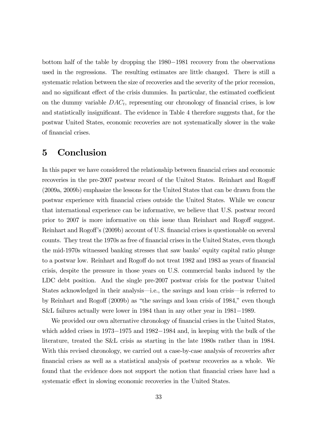bottom half of the table by dropping the 1980−1981 recovery from the observations used in the regressions. The resulting estimates are little changed. There is still a systematic relation between the size of recoveries and the severity of the prior recession, and no significant effect of the crisis dummies. In particular, the estimated coefficient on the dummy variable  $DAC_t$ , representing our chronology of financial crises, is low and statistically insignificant. The evidence in Table 4 therefore suggests that, for the postwar United States, economic recoveries are not systematically slower in the wake of financial crises.

# 5 Conclusion

In this paper we have considered the relationship between financial crises and economic recoveries in the pre-2007 postwar record of the United States. Reinhart and Rogoff (2009a, 2009b) emphasize the lessons for the United States that can be drawn from the postwar experience with financial crises outside the United States. While we concur that international experience can be informative, we believe that U.S. postwar record prior to 2007 is more informative on this issue than Reinhart and Rogoff suggest. Reinhart and Rogoff's (2009b) account of U.S. financial crises is questionable on several counts. They treat the 1970s as free of financial crises in the United States, even though the mid-1970s witnessed banking stresses that saw banks' equity capital ratio plunge to a postwar low. Reinhart and Rogoff do not treat 1982 and 1983 as years of financial crisis, despite the pressure in those years on U.S. commercial banks induced by the LDC debt position. And the single pre-2007 postwar crisis for the postwar United States acknowledged in their analysis–i.e., the savings and loan crisis–is referred to by Reinhart and Rogoff (2009b) as "the savings and loan crisis of 1984," even though S&L failures actually were lower in 1984 than in any other year in 1981−1989.

We provided our own alternative chronology of financial crises in the United States, which added crises in 1973−1975 and 1982−1984 and, in keeping with the bulk of the literature, treated the S&L crisis as starting in the late 1980s rather than in 1984. With this revised chronology, we carried out a case-by-case analysis of recoveries after financial crises as well as a statistical analysis of postwar recoveries as a whole. We found that the evidence does not support the notion that financial crises have had a systematic effect in slowing economic recoveries in the United States.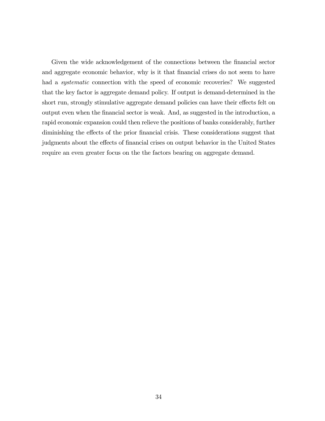Given the wide acknowledgement of the connections between the financial sector and aggregate economic behavior, why is it that financial crises do not seem to have had a *systematic* connection with the speed of economic recoveries? We suggested that the key factor is aggregate demand policy. If output is demand-determined in the short run, strongly stimulative aggregate demand policies can have their effects felt on output even when the financial sector is weak. And, as suggested in the introduction, a rapid economic expansion could then relieve the positions of banks considerably, further diminishing the effects of the prior financial crisis. These considerations suggest that judgments about the effects of financial crises on output behavior in the United States require an even greater focus on the the factors bearing on aggregate demand.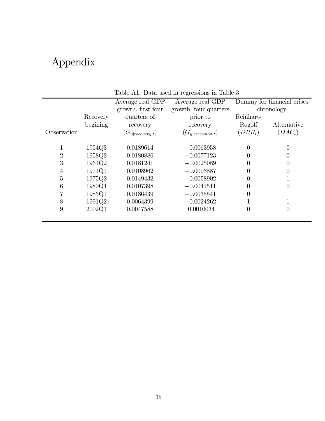# Appendix

|             |          | Average real GDP     | Average real GDP      | Dummy for financial crises |             |
|-------------|----------|----------------------|-----------------------|----------------------------|-------------|
|             |          | growth, first four   | growth, four quarters | chronology                 |             |
|             | Recovery | quarters of          | prior to              | Reinhart-                  |             |
|             | begining | recovery             | recovery              | Rogoff                     | Alternative |
| Observation |          | $(G_{y recovery,t})$ | $(G_{y recession,t})$ | $(DRR_t)$                  | $(DAC_t)$   |
|             |          |                      |                       |                            |             |
|             | 1954Q3   | 0.0189614            | $-0.0063958$          | 0                          | 0           |
| 2           | 1958Q2   | 0.0180886            | $-0.0077123$          |                            | 0           |
| 3           | 1961Q2   | 0.0181241            | $-0.0025089$          |                            | 0           |
| 4           | 1971Q1   | 0.0108962            | $-0.0003887$          |                            | 0           |
| 5           | 1975Q2   | 0.0149432            | $-0.0058902$          |                            |             |
| 6           | 1980Q4   | 0.0107398            | $-0.0041511$          |                            |             |
|             | 1983Q1   | 0.0186439            | $-0.0035541$          |                            |             |
| 8           | 1991Q2   | 0.0064399            | $-0.0024262$          |                            |             |
| 9           | 2002Q1   | 0.0047588            | 0.0010034             | 0                          | 0           |
|             |          |                      |                       |                            |             |

Table A1. Data used in regressions in Table 3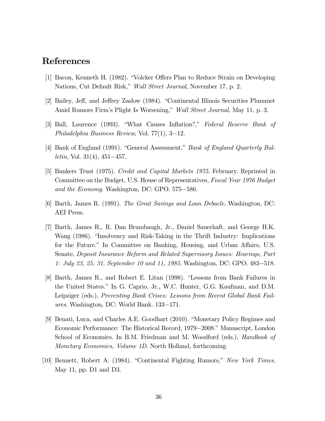# References

- [1] Bacon, Kenneth H. (1982). "Volcker Offers Plan to Reduce Strain on Developing Nations, Cut Default Risk," *Wall Street Journal*, November 17, p. 2.
- [2] Bailey, Jeff, and Jeffrey Zaslow (1984). "Continental Illinois Securities Plummet Amid Rumors Firm's Plight Is Worsening," *Wall Street Journal,* May 11, p. 3.
- [3] Ball, Laurence (1993). "What Causes Inflation?," *Federal Reserve Bank of Philadelphia Business Review*, Vol. 77(1), 3−12.
- [4] Bank of England (1991). "General Assessment," *Bank of England Quarterly Bulletin*, Vol. 31(4), 451−457.
- [5] Bankers Trust (1975). *Credit and Capital Markets 1975*. February. Reprinted in Committee on the Budget, U.S. House of Representatives, *Fiscal Year 1976 Budget and the Economy*. Washington, DC: GPO. 575−586.
- [6] Barth, James R. (1991). *The Great Savings and Loan Debacle*. Washington, DC: AEI Press.
- [7] Barth, James R., R. Dan Brumbaugh, Jr., Daniel Sauerhaft, and George H.K. Wang (1986). "Insolvency and Risk-Taking in the Thrift Industry: Implications for the Future." In Committee on Banking, Housing, and Urban Affairs, U.S. Senate, *Deposit Insurance Reform and Related Supervisory Issues: Hearings, Part 1: July 23, 25, 31, September 10 and 11, 1985*. Washington, DC: GPO. 483−518.
- [8] Barth, James R., and Robert E. Litan (1998). "Lessons from Bank Failures in the United States." In G. Caprio, Jr., W.C. Hunter, G.G. Kaufman, and D.M. Leipziger (eds.), *Preventing Bank Crises: Lessons from Recent Global Bank Failures*. Washington, DC: World Bank. 133−171.
- [9] Benati, Luca, and Charles A.E. Goodhart (2010). "Monetary Policy Regimes and Economic Performance: The Historical Record, 1979−2008." Manuscript, London School of Economics. In B.M. Friedman and M. Woodford (eds.), *Handbook of Monetary Economics, Volume 1D*. North Holland, forthcoming.
- [10] Bennett, Robert A. (1984). "Continental Fighting Rumors," *New York Times*, May 11, pp. D1 and D3.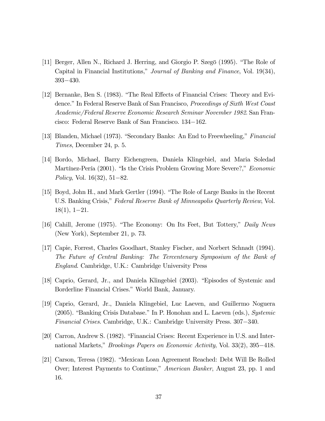- [11] Berger, Allen N., Richard J. Herring, and Giorgio P. Szegö (1995). "The Role of Capital in Financial Institutions," *Journal of Banking and Finance*, Vol. 19(34), 393−430.
- [12] Bernanke, Ben S. (1983). "The Real Effects of Financial Crises: Theory and Evidence." In Federal Reserve Bank of San Francisco, *Proceedings of Sixth West Coast Academic/Federal Reserve Economic Research Seminar November 1982*. San Francisco: Federal Reserve Bank of San Francisco. 134−162.
- [13] Blanden, Michael (1973). "Secondary Banks: An End to Freewheeling," *Financial Times*, December 24, p. 5.
- [14] Bordo, Michael, Barry Eichengreen, Daniela Klingebiel, and Maria Soledad Martínez-Pería (2001). "Is the Crisis Problem Growing More Severe?," *Economic Policy*, Vol. 16(32), 51−82.
- [15] Boyd, John H., and Mark Gertler (1994). "The Role of Large Banks in the Recent U.S. Banking Crisis," *Federal Reserve Bank of Minneapolis Quarterly Review*, Vol. 18(1), 1−21.
- [16] Cahill, Jerome (1975). "The Economy: On Its Feet, But Tottery," *Daily News* (New York), September 21, p. 73.
- [17] Capie, Forrest, Charles Goodhart, Stanley Fischer, and Norbert Schnadt (1994). *The Future of Central Banking: The Tercentenary Symposium of the Bank of England*. Cambridge, U.K.: Cambridge University Press
- [18] Caprio, Gerard, Jr., and Daniela Klingebiel (2003). "Episodes of Systemic and Borderline Financial Crises." World Bank, January.
- [19] Caprio, Gerard, Jr., Daniela Klingebiel, Luc Laeven, and Guillermo Noguera (2005). "Banking Crisis Database." In P. Honohan and L. Laeven (eds.), *Systemic Financial Crises*. Cambridge, U.K.: Cambridge University Press. 307−340.
- [20] Carron, Andrew S. (1982). "Financial Crises: Recent Experience in U.S. and International Markets," *Brookings Papers on Economic Activity*, Vol. 33(2), 395−418.
- [21] Carson, Teresa (1982). "Mexican Loan Agreement Reached: Debt Will Be Rolled Over; Interest Payments to Continue," *American Banker*, August 23, pp. 1 and 16.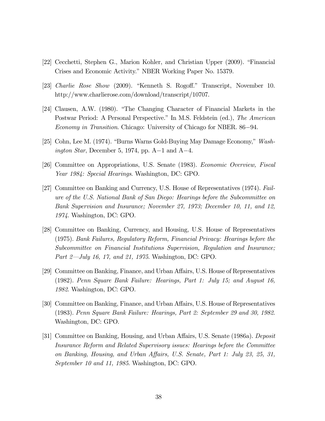- [22] Cecchetti, Stephen G., Marion Kohler, and Christian Upper (2009). "Financial Crises and Economic Activity." NBER Working Paper No. 15379.
- [23] *Charlie Rose Show* (2009). "Kenneth S. Rogoff." Transcript, November 10. http://www.charlierose.com/download/transcript/10707.
- [24] Clausen, A.W. (1980). "The Changing Character of Financial Markets in the Postwar Period: A Personal Perspective." In M.S. Feldstein (ed.), *The American Economy in Transition*. Chicago: University of Chicago for NBER. 86−94.
- [25] Cohn, Lee M. (1974). "Burns Warns Gold-Buying May Damage Economy," *Washington Star*, December 5, 1974, pp. A−1 and A−4.
- [26] Committee on Appropriations, U.S. Senate (1983). *Economic Overview, Fiscal Year 1984: Special Hearings*. Washington, DC: GPO.
- [27] Committee on Banking and Currency, U.S. House of Representatives (1974). *Failure of the U.S. National Bank of San Diego: Hearings before the Subcommittee on Bank Supervision and Insurance; November 27, 1973; December 10, 11, and 12, 1974*. Washington, DC: GPO.
- [28] Committee on Banking, Currency, and Housing, U.S. House of Representatives (1975). *Bank Failures, Regulatory Reform, Financial Privacy: Hearings before the Subcommittee on Financial Institutions Supervision, Regulation and Insurance; Part 2–July 16, 17, and 21, 1975*. Washington, DC: GPO.
- [29] Committee on Banking, Finance, and Urban Affairs, U.S. House of Representatives (1982). *Penn Square Bank Failure: Hearings, Part 1: July 15; and August 16, 1982*. Washington, DC: GPO.
- [30] Committee on Banking, Finance, and Urban Affairs, U.S. House of Representatives (1983). *Penn Square Bank Failure: Hearings, Part 2: September 29 and 30, 1982*. Washington, DC: GPO.
- [31] Committee on Banking, Housing, and Urban Affairs, U.S. Senate (1986a). *Deposit Insurance Reform and Related Supervisory issues: Hearings before the Committee on Banking, Housing, and Urban A*ff*airs, U.S. Senate, Part 1: July 23, 25, 31, September 10 and 11, 1985*. Washington, DC: GPO.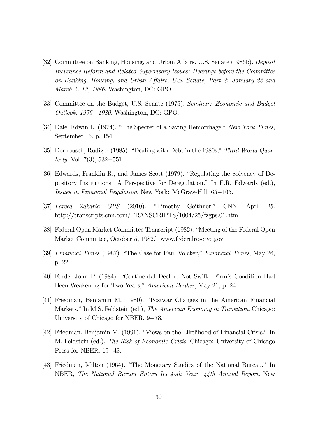- [32] Committee on Banking, Housing, and Urban Affairs, U.S. Senate (1986b). *Deposit Insurance Reform and Related Supervisory Issues: Hearings before the Committee on Banking, Housing, and Urban A*ff*airs, U.S. Senate, Part 2: January 22 and March 4, 13, 1986*. Washington, DC: GPO.
- [33] Committee on the Budget, U.S. Senate (1975). *Seminar: Economic and Budget Outlook, 1976*−*1980*. Washington, DC: GPO.
- [34] Dale, Edwin L. (1974). "The Specter of a Saving Hemorrhage," *New York Times*, September 15, p. 154.
- [35] Dornbusch, Rudiger (1985). "Dealing with Debt in the 1980s," *Third World Quarterly*, Vol. 7(3), 532−551.
- [36] Edwards, Franklin R., and James Scott (1979). "Regulating the Solvency of Depository Institutions: A Perspective for Deregulation." In F.R. Edwards (ed.), *Issues in Financial Regulation*. New York: McGraw-Hill. 65−105.
- [37] *Fareed Zakaria GPS* (2010). "Timothy Geithner." CNN, April 25. http://transcripts.cnn.com/TRANSCRIPTS/1004/25/fzgps.01.html
- [38] Federal Open Market Committee Transcript (1982). "Meeting of the Federal Open Market Committee, October 5, 1982." www.federalreserve.gov
- [39] *Financial Times* (1987). "The Case for Paul Volcker," *Financial Times*, May 26, p. 22.
- [40] Forde, John P. (1984). "Continental Decline Not Swift: Firm's Condition Had Been Weakening for Two Years," *American Banker*, May 21, p. 24.
- [41] Friedman, Benjamin M. (1980). "Postwar Changes in the American Financial Markets." In M.S. Feldstein (ed.), *The American Economy in Transition*. Chicago: University of Chicago for NBER. 9−78.
- [42] Friedman, Benjamin M. (1991). "Views on the Likelihood of Financial Crisis." In M. Feldstein (ed.), *The Risk of Economic Crisis*. Chicago: University of Chicago Press for NBER. 19−43.
- [43] Friedman, Milton (1964). "The Monetary Studies of the National Bureau." In NBER, *The National Bureau Enters Its 45th Year–44th Annual Report*. New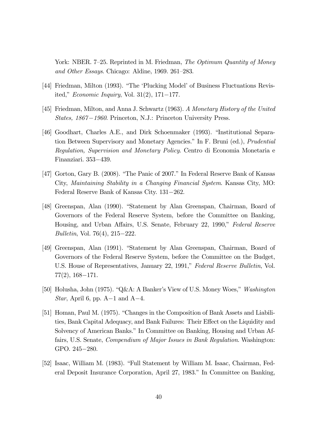York: NBER. 7—25. Reprinted in M. Friedman, *The Optimum Quantity of Money and Other Essays*. Chicago: Aldine, 1969. 261—283.

- [44] Friedman, Milton (1993). "The 'Plucking Model' of Business Fluctuations Revisited," *Economic Inquiry*, Vol. 31(2), 171−177.
- [45] Friedman, Milton, and Anna J. Schwartz (1963). *A Monetary History of the United States, 1867*−*1960*. Princeton, N.J.: Princeton University Press.
- [46] Goodhart, Charles A.E., and Dirk Schoenmaker (1993). "Institutional Separation Between Supervisory and Monetary Agencies." In F. Bruni (ed.), *Prudential Regulation, Supervision and Monetary Policy*. Centro di Economia Monetaria e Finanziari. 353−439.
- [47] Gorton, Gary B. (2008). "The Panic of 2007." In Federal Reserve Bank of Kansas City, *Maintaining Stability in a Changing Financial System*. Kansas City, MO: Federal Reserve Bank of Kansas City. 131−262.
- [48] Greenspan, Alan (1990). "Statement by Alan Greenspan, Chairman, Board of Governors of the Federal Reserve System, before the Committee on Banking, Housing, and Urban Affairs, U.S. Senate, February 22, 1990," *Federal Reserve Bulletin*, Vol. 76(4), 215−222.
- [49] Greenspan, Alan (1991). "Statement by Alan Greenspan, Chairman, Board of Governors of the Federal Reserve System, before the Committee on the Budget, U.S. House of Representatives, January 22, 1991," *Federal Reserve Bulletin*, Vol. 77(2), 168−171.
- [50] Holusha, John (1975). "Q&A: A Banker's View of U.S. Money Woes," *Washington Star*, April 6, pp. A−1 and A−4.
- [51] Homan, Paul M. (1975). "Changes in the Composition of Bank Assets and Liabilities, Bank Capital Adequacy, and Bank Failures: Their Effect on the Liquidity and Solvency of American Banks." In Committee on Banking, Housing and Urban Affairs, U.S. Senate, *Compendium of Major Issues in Bank Regulation*. Washington: GPO. 245−280.
- [52] Isaac, William M. (1983). "Full Statement by William M. Isaac, Chairman, Federal Deposit Insurance Corporation, April 27, 1983." In Committee on Banking,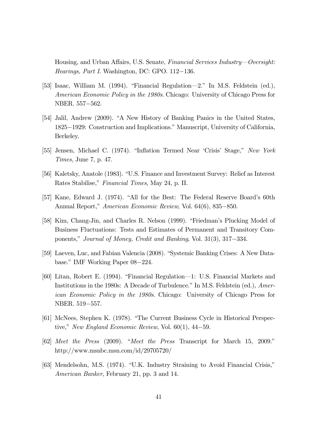Housing, and Urban Affairs, U.S. Senate, *Financial Services Industry–Oversight: Hearings, Part I*. Washington, DC: GPO. 112−136.

- [53] Isaac, William M. (1994). "Financial Regulation–2." In M.S. Feldstein (ed.), *American Economic Policy in the 1980s*. Chicago: University of Chicago Press for NBER. 557−562.
- [54] Jalil, Andrew (2009). "A New History of Banking Panics in the United States, 1825−1929: Construction and Implications." Manuscript, University of California, Berkeley.
- [55] Jensen, Michael C. (1974). "Inflation Termed Near 'Crisis' Stage," *New York Times*, June 7, p. 47.
- [56] Kaletsky, Anatole (1983). "U.S. Finance and Investment Survey: Relief as Interest Rates Stabilise," *Financial Times*, May 24, p. II.
- [57] Kane, Edward J. (1974). "All for the Best: The Federal Reserve Board's 60th Annual Report," *American Economic Review*, Vol. 64(6), 835−850.
- [58] Kim, Chang-Jin, and Charles R. Nelson (1999). "Friedman's Plucking Model of Business Fluctuations: Tests and Estimates of Permanent and Transitory Components," *Journal of Money, Credit and Banking*, Vol. 31(3), 317−334.
- [59] Laeven, Luc, and Fabian Valencia (2008). "Systemic Banking Crises: A New Database." IMF Working Paper 08−224.
- [60] Litan, Robert E. (1994). "Financial Regulation–1: U.S. Financial Markets and Institutions in the 1980s: A Decade of Turbulence." In M.S. Feldstein (ed.), *American Economic Policy in the 1980s*. Chicago: University of Chicago Press for NBER. 519−557.
- [61] McNees, Stephen K. (1978). "The Current Business Cycle in Historical Perspective," *New England Economic Review*, Vol. 60(1), 44−59.
- [62] *Meet the Press* (2009). "*Meet the Press* Transcript for March 15, 2009." http://www.msnbc.msn.com/id/29705720/
- [63] Mendelsohn, M.S. (1974). "U.K. Industry Straining to Avoid Financial Crisis," *American Banker*, February 21, pp. 3 and 14.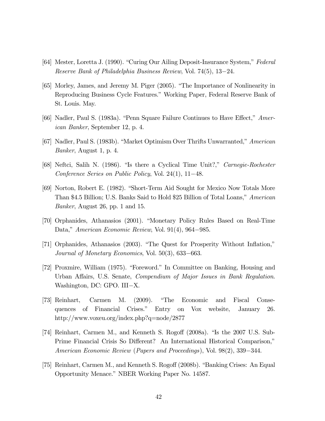- [64] Mester, Loretta J. (1990). "Curing Our Ailing Deposit-Insurance System," *Federal Reserve Bank of Philadelphia Business Review*, Vol. 74(5), 13−24.
- [65] Morley, James, and Jeremy M. Piger (2005). "The Importance of Nonlinearity in Reproducing Business Cycle Features." Working Paper, Federal Reserve Bank of St. Louis. May.
- [66] Nadler, Paul S. (1983a). "Penn Square Failure Continues to Have Effect," *American Banker*, September 12, p. 4.
- [67] Nadler, Paul S. (1983b). "Market Optimism Over Thrifts Unwarranted," *American Banker*, August 1, p. 4.
- [68] Neftci, Salih N. (1986). "Is there a Cyclical Time Unit?," *Carnegie-Rochester Conference Series on Public Policy*, Vol. 24(1), 11−48.
- [69] Norton, Robert E. (1982). "Short-Term Aid Sought for Mexico Now Totals More Than \$4.5 Billion; U.S. Banks Said to Hold \$25 Billion of Total Loans," *American Banker*, August 26, pp. 1 and 15.
- [70] Orphanides, Athanasios (2001). "Monetary Policy Rules Based on Real-Time Data," *American Economic Review*, Vol. 91(4), 964−985.
- [71] Orphanides, Athanasios (2003). "The Quest for Prosperity Without Inflation," *Journal of Monetary Economics*, Vol. 50(3), 633−663.
- [72] Proxmire, William (1975). "Foreword." In Committee on Banking, Housing and Urban Affairs, U.S. Senate, *Compendium of Major Issues in Bank Regulation*. Washington, DC: GPO. III−X.
- [73] Reinhart, Carmen M. (2009). "The Economic and Fiscal Consequences of Financial Crises." Entry on Vox website, January 26. http://www.voxeu.org/index.php?q=node/2877
- [74] Reinhart, Carmen M., and Kenneth S. Rogoff (2008a). "Is the 2007 U.S. Sub-Prime Financial Crisis So Different? An International Historical Comparison," *American Economic Review* (*Papers and Proceedings*), Vol. 98(2), 339−344.
- [75] Reinhart, Carmen M., and Kenneth S. Rogoff (2008b). "Banking Crises: An Equal Opportunity Menace." NBER Working Paper No. 14587.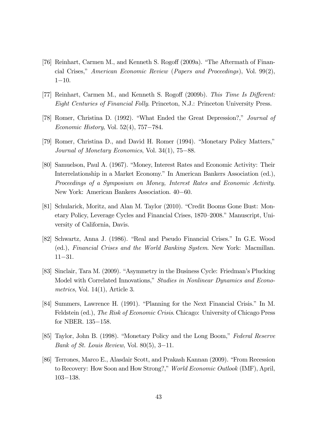- [76] Reinhart, Carmen M., and Kenneth S. Rogoff (2009a). "The Aftermath of Financial Crises," *American Economic Review* (*Papers and Proceedings*), Vol. 99(2), 1−10.
- [77] Reinhart, Carmen M., and Kenneth S. Rogoff (2009b). *This Time Is Di*ff*erent: Eight Centuries of Financial Folly*. Princeton, N.J.: Princeton University Press.
- [78] Romer, Christina D. (1992). "What Ended the Great Depression?," *Journal of Economic History*, Vol. 52(4), 757−784.
- [79] Romer, Christina D., and David H. Romer (1994). "Monetary Policy Matters," *Journal of Monetary Economics*, Vol. 34(1), 75−88.
- [80] Samuelson, Paul A. (1967). "Money, Interest Rates and Economic Activity: Their Interrelationship in a Market Economy." In American Bankers Association (ed.), *Proceedings of a Symposium on Money, Interest Rates and Economic Activity*. New York: American Bankers Association. 40−60.
- [81] Schularick, Moritz, and Alan M. Taylor (2010). "Credit Booms Gone Bust: Monetary Policy, Leverage Cycles and Financial Crises, 1870—2008." Manuscript, University of California, Davis.
- [82] Schwartz, Anna J. (1986). "Real and Pseudo Financial Crises." In G.E. Wood (ed.), *Financial Crises and the World Banking System*. New York: Macmillan. 11−31.
- [83] Sinclair, Tara M. (2009). "Asymmetry in the Business Cycle: Friedman's Plucking Model with Correlated Innovations," *Studies in Nonlinear Dynamics and Econometrics*, Vol. 14(1), Article 3.
- [84] Summers, Lawrence H. (1991). "Planning for the Next Financial Crisis." In M. Feldstein (ed.), *The Risk of Economic Crisis*. Chicago: University of Chicago Press for NBER. 135−158.
- [85] Taylor, John B. (1998). "Monetary Policy and the Long Boom," *Federal Reserve Bank of St. Louis Review*, Vol. 80(5), 3−11.
- [86] Terrones, Marco E., Alasdair Scott, and Prakash Kannan (2009). "From Recession to Recovery: How Soon and How Strong?," *World Economic Outlook* (IMF), April, 103−138.